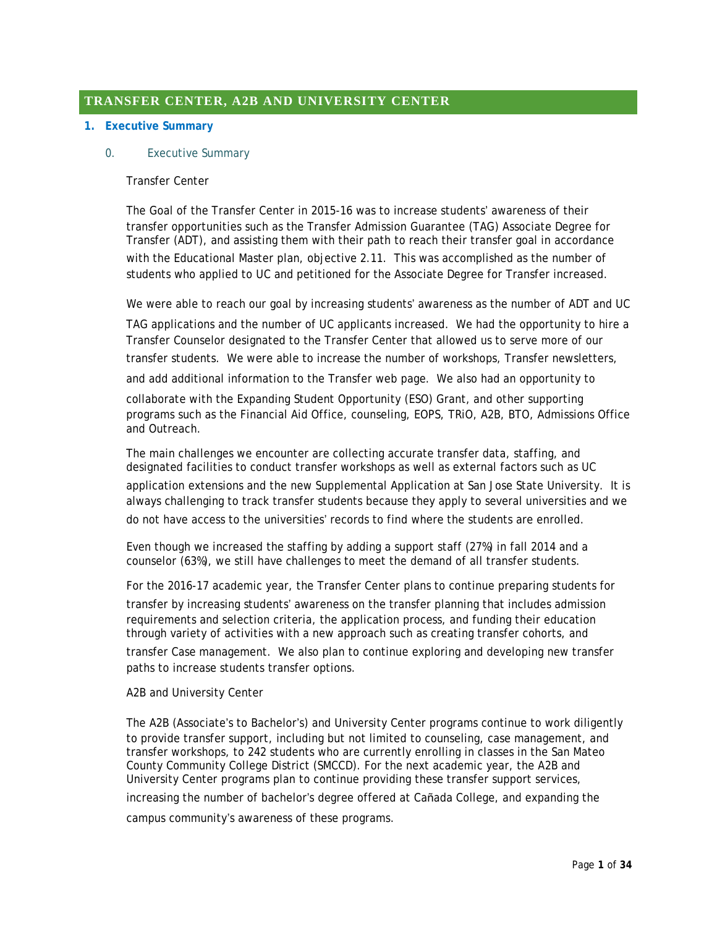# **TRANSFER CENTER, A2B AND UNIVERSITY CENTER**

### **1. Executive Summary**

### 0. Executive Summary

### Transfer Center

The Goal of the Transfer Center in 2015-16 was to increase students' awareness of their transfer opportunities such as the Transfer Admission Guarantee (TAG) Associate Degree for Transfer (ADT), and assisting them with their path to reach their transfer goal in accordance with the Educational Master plan, objective 2.11. This was accomplished as the number of students who applied to UC and petitioned for the Associate Degree for Transfer increased.

We were able to reach our goal by increasing students' awareness as the number of ADT and UC

TAG applications and the number of UC applicants increased. We had the opportunity to hire a Transfer Counselor designated to the Transfer Center that allowed us to serve more of our transfer students. We were able to increase the number of workshops, Transfer newsletters,

and add additional information to the Transfer web page. We also had an opportunity to

collaborate with the Expanding Student Opportunity (ESO) Grant, and other supporting programs such as the Financial Aid Office, counseling, EOPS, TRiO, A2B, BTO, Admissions Office and Outreach.

The main challenges we encounter are collecting accurate transfer data, staffing, and designated facilities to conduct transfer workshops as well as external factors such as UC application extensions and the new Supplemental Application at San Jose State University. It is always challenging to track transfer students because they apply to several universities and we do not have access to the universities' records to find where the students are enrolled.

Even though we increased the staffing by adding a support staff (27%) in fall 2014 and a counselor (63%), we still have challenges to meet the demand of all transfer students.

For the 2016-17 academic year, the Transfer Center plans to continue preparing students for transfer by increasing students' awareness on the transfer planning that includes admission requirements and selection criteria, the application process, and funding their education through variety of activities with a new approach such as creating transfer cohorts, and

transfer Case management. We also plan to continue exploring and developing new transfer paths to increase students transfer options.

A2B and University Center

The A2B (Associate's to Bachelor's) and University Center programs continue to work diligently to provide transfer support, including but not limited to counseling, case management, and transfer workshops, to 242 students who are currently enrolling in classes in the San Mateo County Community College District (SMCCD). For the next academic year, the A2B and University Center programs plan to continue providing these transfer support services,

increasing the number of bachelor's degree offered at Cañada College, and expanding the

campus community's awareness of these programs.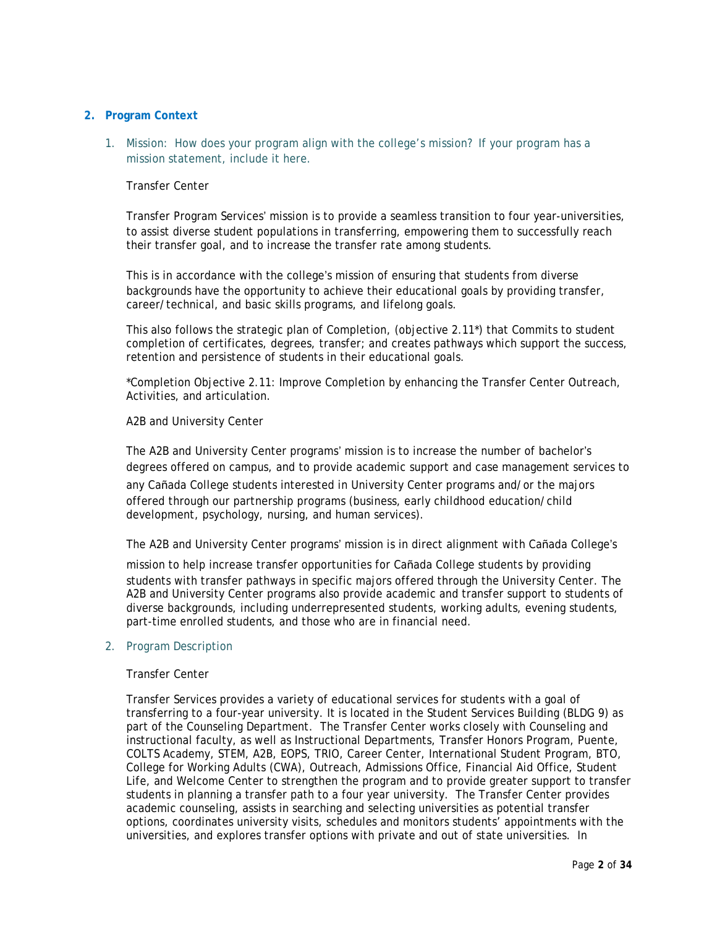# **2. Program Context**

1. Mission: How does your program align with the college's mission? If your program has a mission statement, include it here.

# Transfer Center

Transfer Program Services' mission is to provide a seamless transition to four year-universities, to assist diverse student populations in transferring, empowering them to successfully reach their transfer goal, and to increase the transfer rate among students.

This is in accordance with the college's mission of ensuring that students from diverse backgrounds have the opportunity to achieve their educational goals by providing transfer, career/technical, and basic skills programs, and lifelong goals.

This also follows the strategic plan of Completion, (objective 2.11\*) that Commits to student completion of certificates, degrees, transfer; and creates pathways which support the success, retention and persistence of students in their educational goals.

\*Completion Objective 2.11: Improve Completion by enhancing the Transfer Center Outreach, Activities, and articulation.

### A2B and University Center

The A2B and University Center programs' mission is to increase the number of bachelor's degrees offered on campus, and to provide academic support and case management services to

any Cañada College students interested in University Center programs and/or the majors offered through our partnership programs (business, early childhood education/child development, psychology, nursing, and human services).

The A2B and University Center programs' mission is in direct alignment with Cañada College's

mission to help increase transfer opportunities for Cañada College students by providing students with transfer pathways in specific majors offered through the University Center. The A2B and University Center programs also provide academic and transfer support to students of diverse backgrounds, including underrepresented students, working adults, evening students, part-time enrolled students, and those who are in financial need.

### 2. Program Description

#### Transfer Center

Transfer Services provides a variety of educational services for students with a goal of transferring to a four-year university. It is located in the Student Services Building (BLDG 9) as part of the Counseling Department. The Transfer Center works closely with Counseling and instructional faculty, as well as Instructional Departments, Transfer Honors Program, Puente, COLTS Academy, STEM, A2B, EOPS, TRIO, Career Center, International Student Program, BTO, College for Working Adults (CWA), Outreach, Admissions Office, Financial Aid Office, Student Life, and Welcome Center to strengthen the program and to provide greater support to transfer students in planning a transfer path to a four year university. The Transfer Center provides academic counseling, assists in searching and selecting universities as potential transfer options, coordinates university visits, schedules and monitors students' appointments with the universities, and explores transfer options with private and out of state universities. In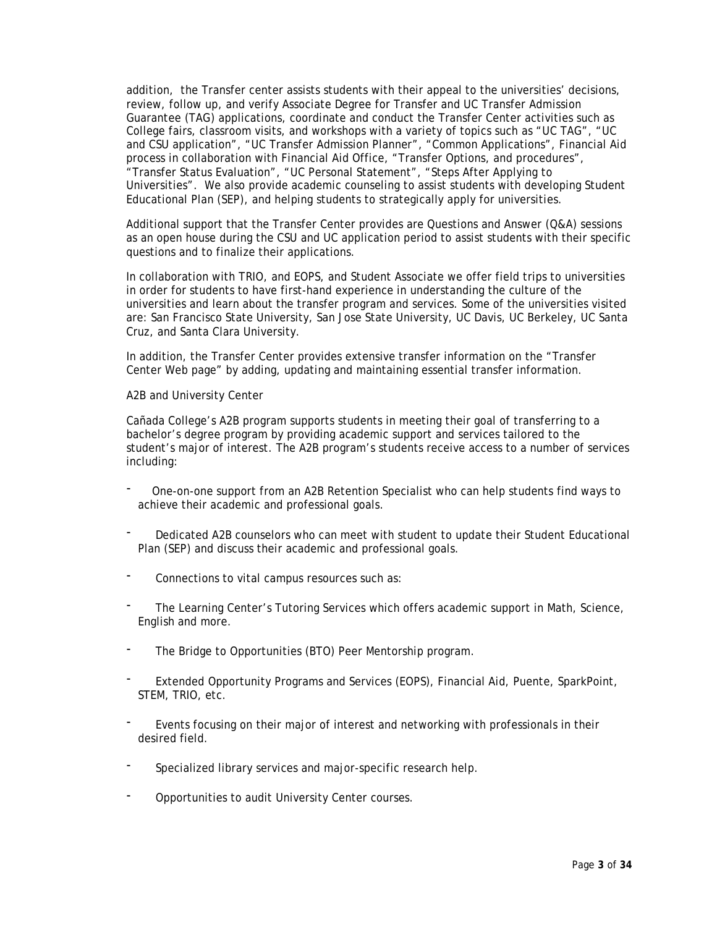addition, the Transfer center assists students with their appeal to the universities' decisions, review, follow up, and verify Associate Degree for Transfer and UC Transfer Admission Guarantee (TAG) applications, coordinate and conduct the Transfer Center activities such as College fairs, classroom visits, and workshops with a variety of topics such as "UC TAG", "UC and CSU application", "UC Transfer Admission Planner", "Common Applications", Financial Aid process in collaboration with Financial Aid Office, "Transfer Options, and procedures", "Transfer Status Evaluation", "UC Personal Statement", "Steps After Applying to Universities". We also provide academic counseling to assist students with developing Student Educational Plan (SEP), and helping students to strategically apply for universities.

Additional support that the Transfer Center provides are Questions and Answer (Q&A) sessions as an open house during the CSU and UC application period to assist students with their specific questions and to finalize their applications.

In collaboration with TRIO, and EOPS, and Student Associate we offer field trips to universities in order for students to have first-hand experience in understanding the culture of the universities and learn about the transfer program and services. Some of the universities visited are: San Francisco State University, San Jose State University, UC Davis, UC Berkeley, UC Santa Cruz, and Santa Clara University.

In addition, the Transfer Center provides extensive transfer information on the "Transfer Center Web page" by adding, updating and maintaining essential transfer information.

### A2B and University Center

Cañada College's A2B program supports students in meeting their goal of transferring to a bachelor's degree program by providing academic support and services tailored to the student's major of interest. The A2B program's students receive access to a number of services including:

- One-on-one support from an A2B Retention Specialist who can help students find ways to achieve their academic and professional goals.
- Dedicated A2B counselors who can meet with student to update their Student Educational Plan (SEP) and discuss their academic and professional goals.
- Connections to vital campus resources such as:
- The Learning Center's Tutoring Services which offers academic support in Math, Science, English and more.
- The Bridge to Opportunities (BTO) Peer Mentorship program.
- Extended Opportunity Programs and Services (EOPS), Financial Aid, Puente, SparkPoint, STEM, TRIO, etc.
- Events focusing on their major of interest and networking with professionals in their desired field.
- Specialized library services and major-specific research help.
- Opportunities to audit University Center courses.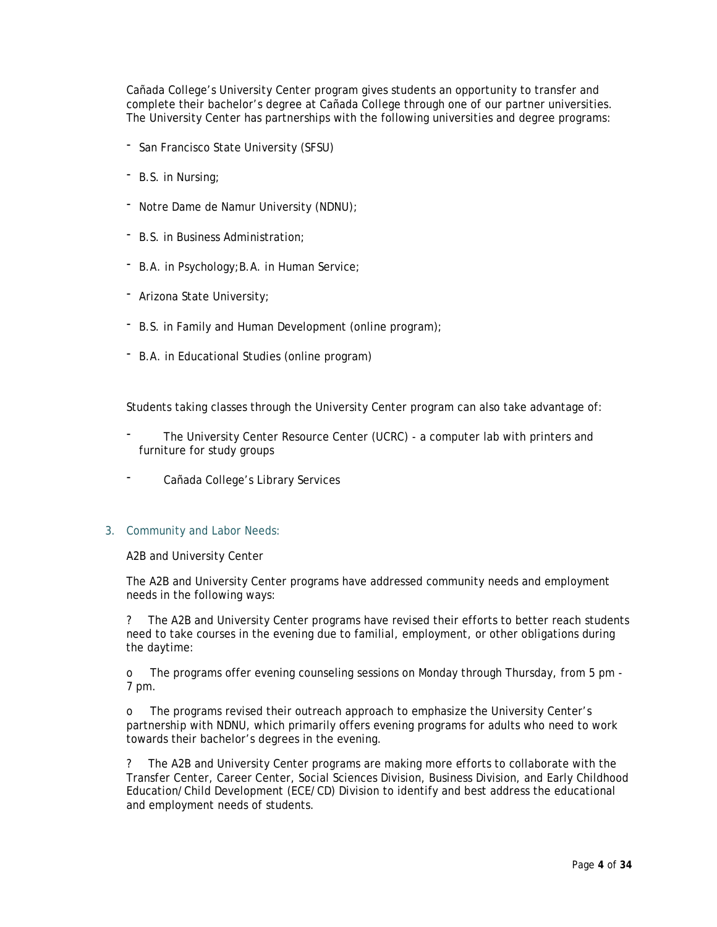Cañada College's University Center program gives students an opportunity to transfer and complete their bachelor's degree at Cañada College through one of our partner universities. The University Center has partnerships with the following universities and degree programs:

- San Francisco State University (SFSU)
- B.S. in Nursing;
- Notre Dame de Namur University (NDNU);
- B.S. in Business Administration;
- B.A. in Psychology;B.A. in Human Service;
- Arizona State University;
- B.S. in Family and Human Development (online program);
- B.A. in Educational Studies (online program)

Students taking classes through the University Center program can also take advantage of:

- The University Center Resource Center (UCRC) a computer lab with printers and furniture for study groups
- Cañada College's Library Services

### 3. Community and Labor Needs:

A2B and University Center

The A2B and University Center programs have addressed community needs and employment needs in the following ways:

? The A2B and University Center programs have revised their efforts to better reach students need to take courses in the evening due to familial, employment, or other obligations during the daytime:

o The programs offer evening counseling sessions on Monday through Thursday, from 5 pm - 7 pm.

o The programs revised their outreach approach to emphasize the University Center's partnership with NDNU, which primarily offers evening programs for adults who need to work towards their bachelor's degrees in the evening.

? The A2B and University Center programs are making more efforts to collaborate with the Transfer Center, Career Center, Social Sciences Division, Business Division, and Early Childhood Education/Child Development (ECE/CD) Division to identify and best address the educational and employment needs of students.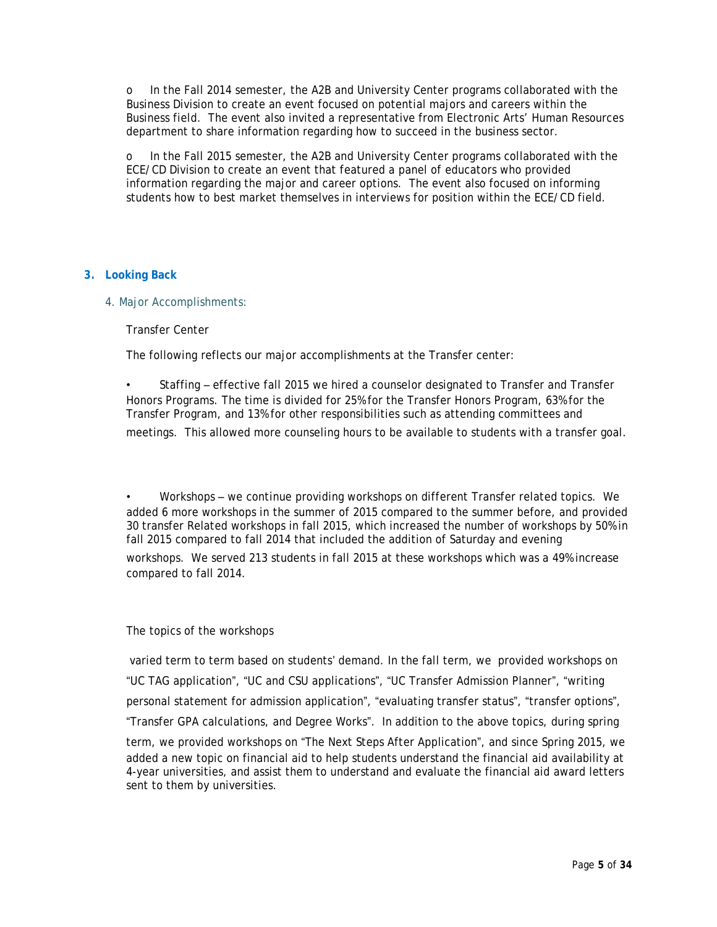o In the Fall 2014 semester, the A2B and University Center programs collaborated with the Business Division to create an event focused on potential majors and careers within the Business field. The event also invited a representative from Electronic Arts' Human Resources department to share information regarding how to succeed in the business sector.

o In the Fall 2015 semester, the A2B and University Center programs collaborated with the ECE/CD Division to create an event that featured a panel of educators who provided information regarding the major and career options. The event also focused on informing students how to best market themselves in interviews for position within the ECE/CD field.

### **3. Looking Back**

4. Major Accomplishments:

Transfer Center

The following reflects our major accomplishments at the Transfer center:

• Staffing – effective fall 2015 we hired a counselor designated to Transfer and Transfer Honors Programs. The time is divided for 25% for the Transfer Honors Program, 63% for the Transfer Program, and 13% for other responsibilities such as attending committees and meetings. This allowed more counseling hours to be available to students with a transfer goal.

• Workshops – we continue providing workshops on different Transfer related topics. We added 6 more workshops in the summer of 2015 compared to the summer before, and provided 30 transfer Related workshops in fall 2015, which increased the number of workshops by 50% in fall 2015 compared to fall 2014 that included the addition of Saturday and evening workshops. We served 213 students in fall 2015 at these workshops which was a 49% increase compared to fall 2014.

### The topics of the workshops

varied term to term based on students' demand. In the fall term, we provided workshops on "UC TAG application", "UC and CSU applications", "UC Transfer Admission Planner", "writing personal statement for admission application", "evaluating transfer status", "transfer options", "Transfer GPA calculations, and Degree Works". In addition to the above topics, during spring term, we provided workshops on "The Next Steps After Application", and since Spring 2015, we added a new topic on financial aid to help students understand the financial aid availability at 4-year universities, and assist them to understand and evaluate the financial aid award letters sent to them by universities.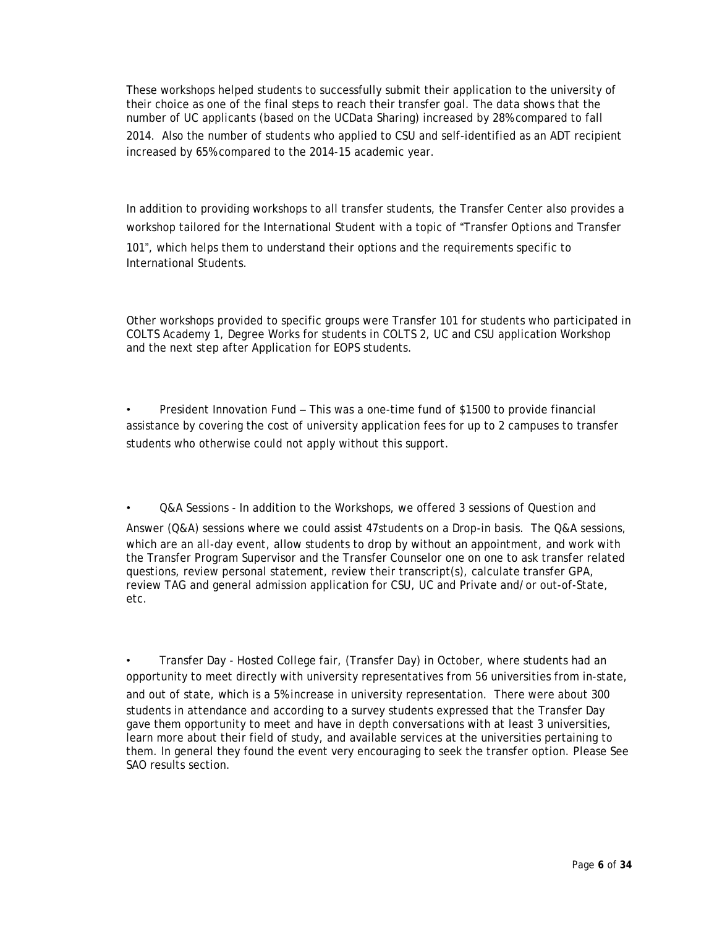These workshops helped students to successfully submit their application to the university of their choice as one of the final steps to reach their transfer goal. The data shows that the number of UC applicants (based on the UCData Sharing) increased by 28% compared to fall 2014. Also the number of students who applied to CSU and self-identified as an ADT recipient increased by 65% compared to the 2014-15 academic year.

In addition to providing workshops to all transfer students, the Transfer Center also provides a workshop tailored for the International Student with a topic of "Transfer Options and Transfer 101", which helps them to understand their options and the requirements specific to International Students.

Other workshops provided to specific groups were Transfer 101 for students who participated in COLTS Academy 1, Degree Works for students in COLTS 2, UC and CSU application Workshop and the next step after Application for EOPS students.

• President Innovation Fund – This was a one-time fund of \$1500 to provide financial assistance by covering the cost of university application fees for up to 2 campuses to transfer students who otherwise could not apply without this support.

Q&A Sessions - In addition to the Workshops, we offered 3 sessions of Question and

Answer (Q&A) sessions where we could assist 47students on a Drop-in basis. The Q&A sessions, which are an all-day event, allow students to drop by without an appointment, and work with the Transfer Program Supervisor and the Transfer Counselor one on one to ask transfer related questions, review personal statement, review their transcript(s), calculate transfer GPA, review TAG and general admission application for CSU, UC and Private and/or out-of-State, etc.

• Transfer Day - Hosted College fair, (Transfer Day) in October, where students had an opportunity to meet directly with university representatives from 56 universities from in-state, and out of state, which is a 5% increase in university representation. There were about 300 students in attendance and according to a survey students expressed that the Transfer Day gave them opportunity to meet and have in depth conversations with at least 3 universities, learn more about their field of study, and available services at the universities pertaining to them. In general they found the event very encouraging to seek the transfer option. Please See SAO results section.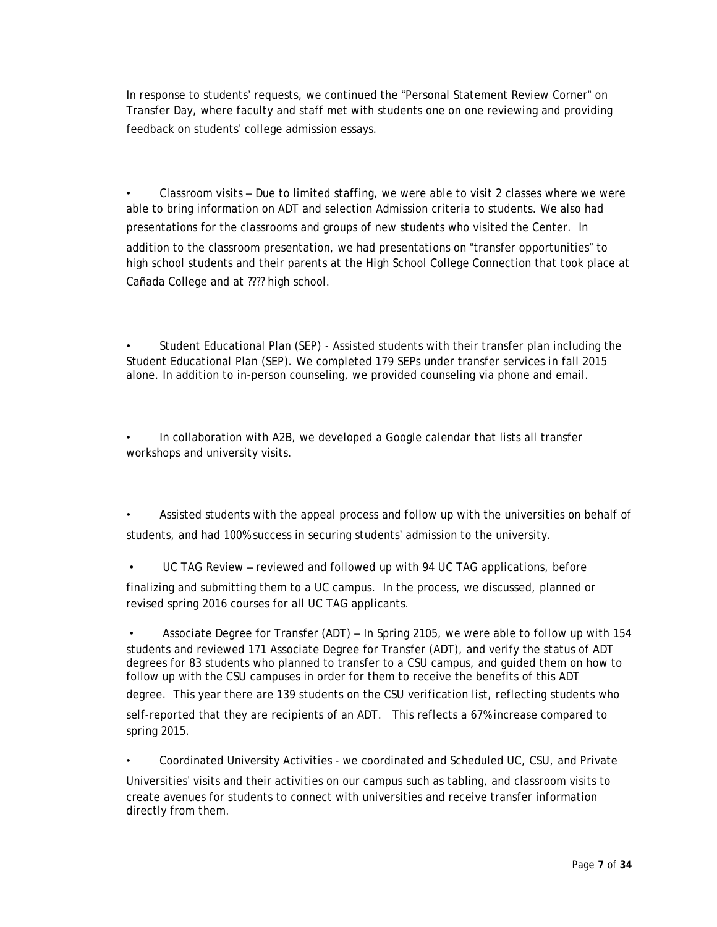In response to students' requests, we continued the "Personal Statement Review Corner" on Transfer Day, where faculty and staff met with students one on one reviewing and providing feedback on students' college admission essays.

• Classroom visits – Due to limited staffing, we were able to visit 2 classes where we were able to bring information on ADT and selection Admission criteria to students. We also had presentations for the classrooms and groups of new students who visited the Center. In addition to the classroom presentation, we had presentations on "transfer opportunities" to high school students and their parents at the High School College Connection that took place at Cañada College and at ???? high school.

• Student Educational Plan (SEP) - Assisted students with their transfer plan including the Student Educational Plan (SEP). We completed 179 SEPs under transfer services in fall 2015 alone. In addition to in-person counseling, we provided counseling via phone and email.

• In collaboration with A2B, we developed a Google calendar that lists all transfer workshops and university visits.

• Assisted students with the appeal process and follow up with the universities on behalf of students, and had 100% success in securing students' admission to the university.

UC TAG Review – reviewed and followed up with 94 UC TAG applications, before

finalizing and submitting them to a UC campus. In the process, we discussed, planned or revised spring 2016 courses for all UC TAG applicants.

• Associate Degree for Transfer (ADT) – In Spring 2105, we were able to follow up with 154 students and reviewed 171 Associate Degree for Transfer (ADT), and verify the status of ADT degrees for 83 students who planned to transfer to a CSU campus, and guided them on how to follow up with the CSU campuses in order for them to receive the benefits of this ADT

degree. This year there are 139 students on the CSU verification list, reflecting students who self-reported that they are recipients of an ADT. This reflects a 67% increase compared to spring 2015.

• Coordinated University Activities - we coordinated and Scheduled UC, CSU, and Private

Universities' visits and their activities on our campus such as tabling, and classroom visits to create avenues for students to connect with universities and receive transfer information directly from them.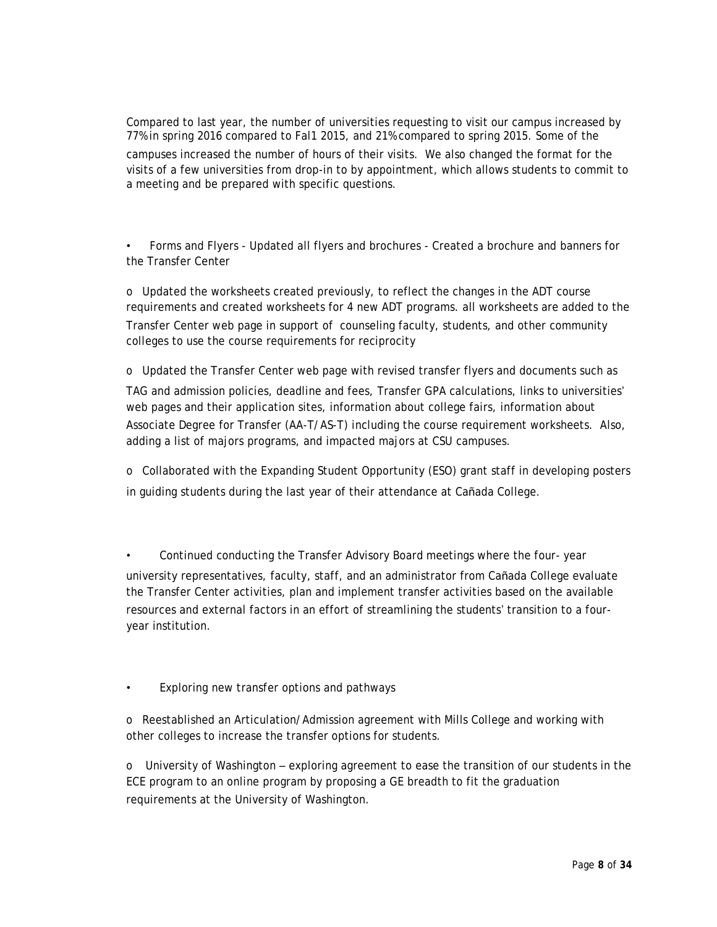Compared to last year, the number of universities requesting to visit our campus increased by 77% in spring 2016 compared to Fal1 2015, and 21% compared to spring 2015. Some of the campuses increased the number of hours of their visits. We also changed the format for the visits of a few universities from drop-in to by appointment, which allows students to commit to a meeting and be prepared with specific questions.

• Forms and Flyers - Updated all flyers and brochures - Created a brochure and banners for the Transfer Center

o Updated the worksheets created previously, to reflect the changes in the ADT course requirements and created worksheets for 4 new ADT programs. all worksheets are added to the Transfer Center web page in support of counseling faculty, students, and other community colleges to use the course requirements for reciprocity

o Updated the Transfer Center web page with revised transfer flyers and documents such as TAG and admission policies, deadline and fees, Transfer GPA calculations, links to universities' web pages and their application sites, information about college fairs, information about Associate Degree for Transfer (AA-T/AS-T) including the course requirement worksheets. Also, adding a list of majors programs, and impacted majors at CSU campuses.

o Collaborated with the Expanding Student Opportunity (ESO) grant staff in developing posters in guiding students during the last year of their attendance at Cañada College.

• Continued conducting the Transfer Advisory Board meetings where the four- year university representatives, faculty, staff, and an administrator from Cañada College evaluate the Transfer Center activities, plan and implement transfer activities based on the available resources and external factors in an effort of streamlining the students' transition to a fouryear institution.

• Exploring new transfer options and pathways

o Reestablished an Articulation/Admission agreement with Mills College and working with other colleges to increase the transfer options for students.

o University of Washington – exploring agreement to ease the transition of our students in the ECE program to an online program by proposing a GE breadth to fit the graduation requirements at the University of Washington.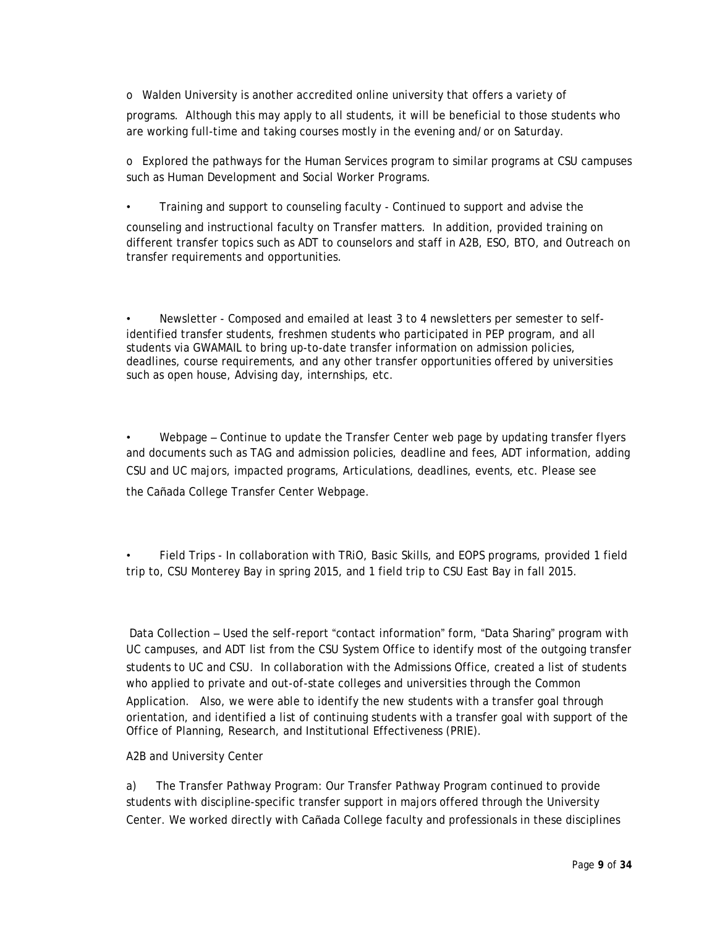o Walden University is another accredited online university that offers a variety of

programs. Although this may apply to all students, it will be beneficial to those students who are working full-time and taking courses mostly in the evening and/or on Saturday.

o Explored the pathways for the Human Services program to similar programs at CSU campuses such as Human Development and Social Worker Programs.

• Training and support to counseling faculty - Continued to support and advise the

counseling and instructional faculty on Transfer matters. In addition, provided training on different transfer topics such as ADT to counselors and staff in A2B, ESO, BTO, and Outreach on transfer requirements and opportunities.

• Newsletter - Composed and emailed at least 3 to 4 newsletters per semester to selfidentified transfer students, freshmen students who participated in PEP program, and all students via GWAMAIL to bring up-to-date transfer information on admission policies, deadlines, course requirements, and any other transfer opportunities offered by universities such as open house, Advising day, internships, etc.

• Webpage – Continue to update the Transfer Center web page by updating transfer flyers and documents such as TAG and admission policies, deadline and fees, ADT information, adding CSU and UC majors, impacted programs, Articulations, deadlines, events, etc. Please see the Cañada College Transfer Center [Webpage.](http://canadacollege.edu/transfercenter/)

• Field Trips - In collaboration with TRiO, Basic Skills, and EOPS programs, provided 1 field trip to, CSU Monterey Bay in spring 2015, and 1 field trip to CSU East Bay in fall 2015.

Data Collection – Used the self-report "contact information" form, "Data Sharing" program with UC campuses, and ADT list from the CSU System Office to identify most of the outgoing transfer students to UC and CSU. In collaboration with the Admissions Office, created a list of students who applied to private and out-of-state colleges and universities through the Common

Application. Also, we were able to identify the new students with a transfer goal through orientation, and identified a list of continuing students with a transfer goal with support of the Office of Planning, Research, and Institutional Effectiveness (PRIE).

A2B and University Center

a) The Transfer Pathway Program: Our Transfer Pathway Program continued to provide students with discipline-specific transfer support in majors offered through the University Center. We worked directly with Cañada College faculty and professionals in these disciplines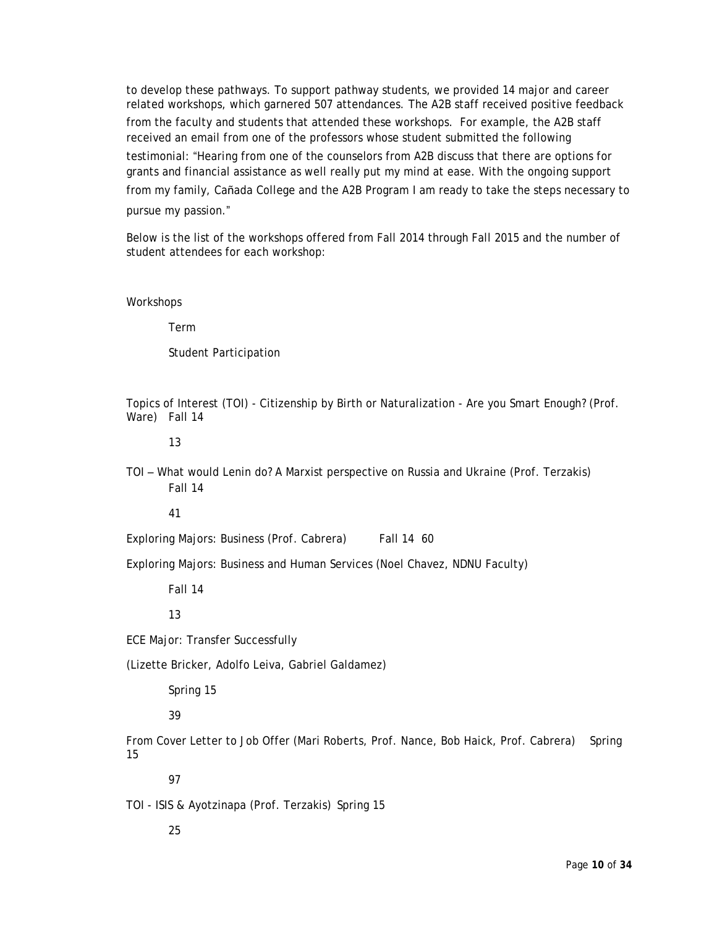to develop these pathways. To support pathway students, we provided 14 major and career related workshops, which garnered 507 attendances. The A2B staff received positive feedback from the faculty and students that attended these workshops. For example, the A2B staff received an email from one of the professors whose student submitted the following testimonial: "Hearing from one of the counselors from A2B discuss that there are options for grants and financial assistance as well really put my mind at ease. With the ongoing support from my family, Cañada College and the A2B Program I am ready to take the steps necessary to pursue my passion."

Below is the list of the workshops offered from Fall 2014 through Fall 2015 and the number of student attendees for each workshop:

Workshops

Term

Student Participation

Topics of Interest (TOI) - Citizenship by Birth or Naturalization - Are you Smart Enough? (Prof. Ware) Fall 14

13

TOI – What would Lenin do? A Marxist perspective on Russia and Ukraine (Prof. Terzakis) Fall 14

41

Exploring Majors: Business (Prof. Cabrera) Fall 14 60

Exploring Majors: Business and Human Services (Noel Chavez, NDNU Faculty)

Fall 14

13

ECE Major: Transfer Successfully

(Lizette Bricker, Adolfo Leiva, Gabriel Galdamez)

Spring 15

39

From Cover Letter to Job Offer (Mari Roberts, Prof. Nance, Bob Haick, Prof. Cabrera) Spring 15

97

TOI - ISIS & Ayotzinapa (Prof. Terzakis) Spring 15

25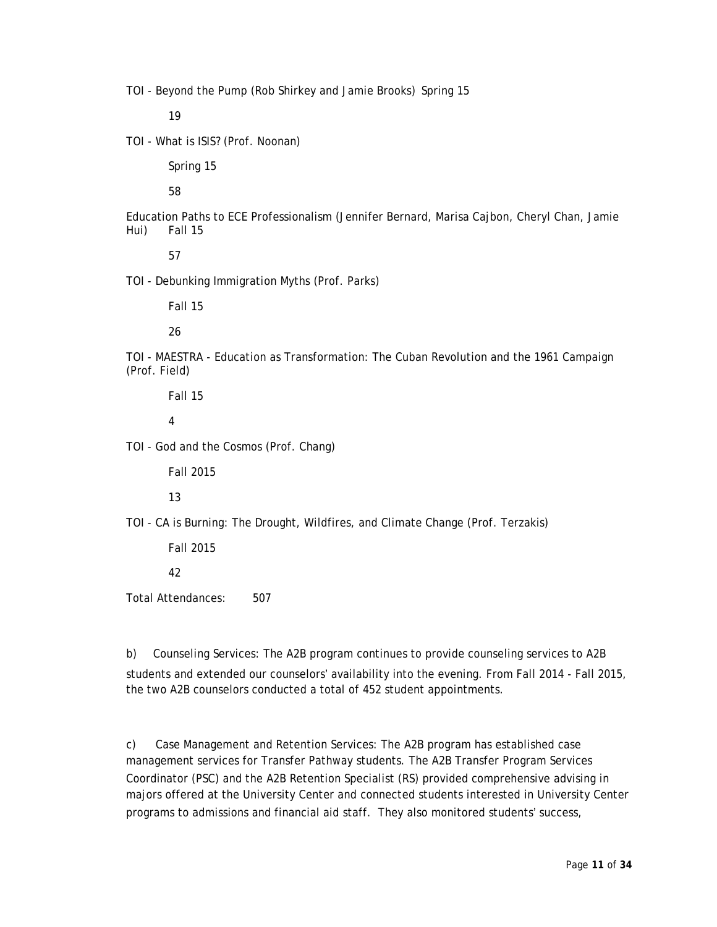TOI - Beyond the Pump (Rob Shirkey and Jamie Brooks) Spring 15

19

TOI - What is ISIS? (Prof. Noonan)

Spring 15

58

Education Paths to ECE Professionalism (Jennifer Bernard, Marisa Cajbon, Cheryl Chan, Jamie Hui) Fall 15

57

TOI - Debunking Immigration Myths (Prof. Parks)

Fall 15

26

TOI - MAESTRA - Education as Transformation: The Cuban Revolution and the 1961 Campaign (Prof. Field)

Fall 15

4

TOI - God and the Cosmos (Prof. Chang)

Fall 2015

13

TOI - CA is Burning: The Drought, Wildfires, and Climate Change (Prof. Terzakis)

Fall 2015

42

Total Attendances: 507

b) Counseling Services: The A2B program continues to provide counseling services to A2B students and extended our counselors' availability into the evening. From Fall 2014 - Fall 2015, the two A2B counselors conducted a total of 452 student appointments.

c) Case Management and Retention Services: The A2B program has established case management services for Transfer Pathway students. The A2B Transfer Program Services Coordinator (PSC) and the A2B Retention Specialist (RS) provided comprehensive advising in majors offered at the University Center and connected students interested in University Center programs to admissions and financial aid staff. They also monitored students' success,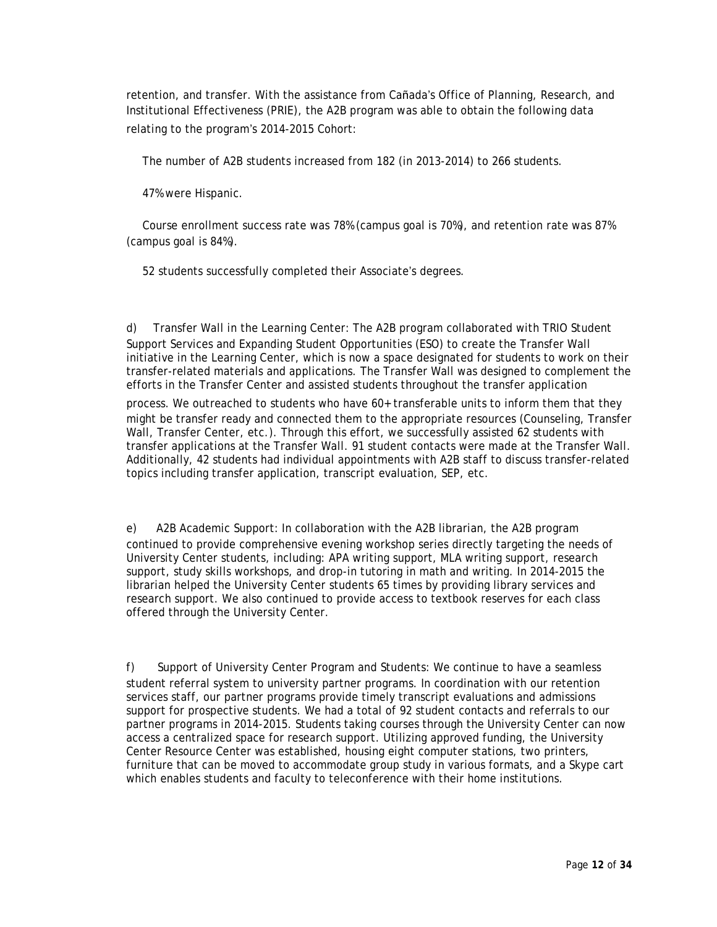retention, and transfer. With the assistance from Cañada's Office of Planning, Research, and Institutional Effectiveness (PRIE), the A2B program was able to obtain the following data relating to the program's 2014-2015 Cohort:

The number of A2B students increased from 182 (in 2013-2014) to 266 students.

47% were Hispanic.

Course enrollment success rate was 78% (campus goal is 70%), and retention rate was 87% (campus goal is 84%).

52 students successfully completed their Associate's degrees.

d) Transfer Wall in the Learning Center: The A2B program collaborated with TRIO Student Support Services and Expanding Student Opportunities (ESO) to create the Transfer Wall initiative in the Learning Center, which is now a space designated for students to work on their transfer-related materials and applications. The Transfer Wall was designed to complement the efforts in the Transfer Center and assisted students throughout the transfer application

process. We outreached to students who have 60+ transferable units to inform them that they might be transfer ready and connected them to the appropriate resources (Counseling, Transfer Wall, Transfer Center, etc.). Through this effort, we successfully assisted 62 students with transfer applications at the Transfer Wall. 91 student contacts were made at the Transfer Wall. Additionally, 42 students had individual appointments with A2B staff to discuss transfer-related topics including transfer application, transcript evaluation, SEP, etc.

e) A2B Academic Support: In collaboration with the A2B librarian, the A2B program continued to provide comprehensive evening workshop series directly targeting the needs of University Center students, including: APA writing support, MLA writing support, research support, study skills workshops, and drop-in tutoring in math and writing. In 2014-2015 the librarian helped the University Center students 65 times by providing library services and research support. We also continued to provide access to textbook reserves for each class offered through the University Center.

f) Support of University Center Program and Students: We continue to have a seamless student referral system to university partner programs. In coordination with our retention services staff, our partner programs provide timely transcript evaluations and admissions support for prospective students. We had a total of 92 student contacts and referrals to our partner programs in 2014-2015. Students taking courses through the University Center can now access a centralized space for research support. Utilizing approved funding, the University Center Resource Center was established, housing eight computer stations, two printers, furniture that can be moved to accommodate group study in various formats, and a Skype cart which enables students and faculty to teleconference with their home institutions.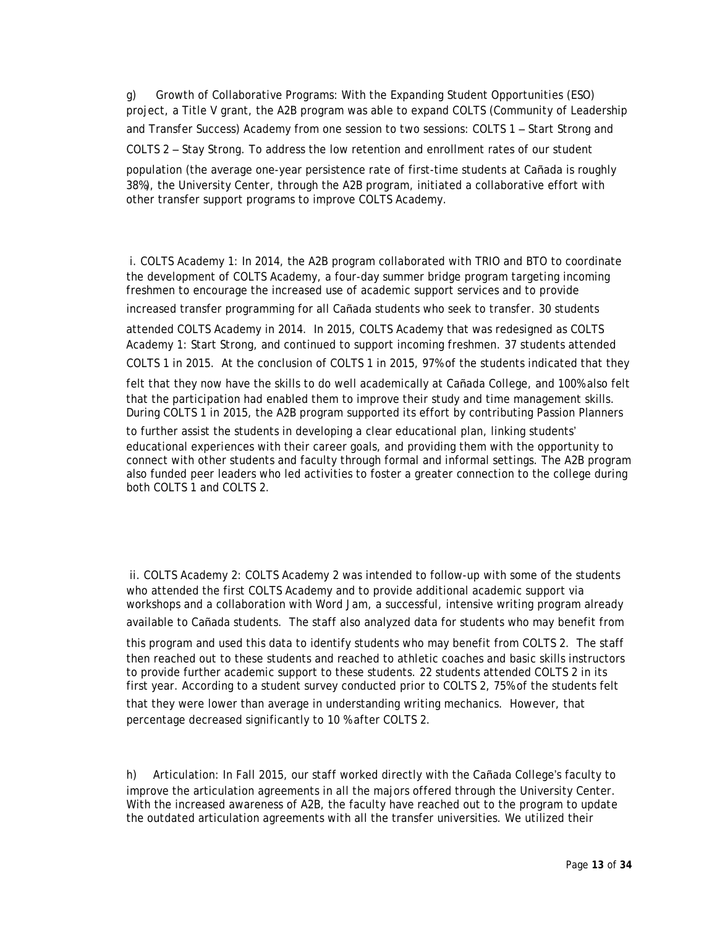g) Growth of Collaborative Programs: With the Expanding Student Opportunities (ESO) project, a Title V grant, the A2B program was able to expand COLTS (Community of Leadership and Transfer Success) Academy from one session to two sessions: COLTS 1 – Start Strong and COLTS 2 – Stay Strong. To address the low retention and enrollment rates of our student

population (the average one-year persistence rate of first-time students at Cañada is roughly 38%), the University Center, through the A2B program, initiated a collaborative effort with other transfer support programs to improve COLTS Academy.

i. COLTS Academy 1: In 2014, the A2B program collaborated with TRIO and BTO to coordinate the development of COLTS Academy, a four-day summer bridge program targeting incoming freshmen to encourage the increased use of academic support services and to provide increased transfer programming for all Cañada students who seek to transfer. 30 students

attended COLTS Academy in 2014. In 2015, COLTS Academy that was redesigned as COLTS Academy 1: Start Strong, and continued to support incoming freshmen. 37 students attended COLTS 1 in 2015. At the conclusion of COLTS 1 in 2015, 97% of the students indicated that they

felt that they now have the skills to do well academically at Cañada College, and 100% also felt that the participation had enabled them to improve their study and time management skills. During COLTS 1 in 2015, the A2B program supported its effort by contributing Passion Planners

to further assist the students in developing a clear educational plan, linking students' educational experiences with their career goals, and providing them with the opportunity to connect with other students and faculty through formal and informal settings. The A2B program also funded peer leaders who led activities to foster a greater connection to the college during both COLTS 1 and COLTS 2.

ii. COLTS Academy 2: COLTS Academy 2 was intended to follow-up with some of the students who attended the first COLTS Academy and to provide additional academic support via workshops and a collaboration with Word Jam, a successful, intensive writing program already

available to Cañada students. The staff also analyzed data for students who may benefit from

this program and used this data to identify students who may benefit from COLTS 2. The staff then reached out to these students and reached to athletic coaches and basic skills instructors to provide further academic support to these students. 22 students attended COLTS 2 in its first year. According to a student survey conducted prior to COLTS 2, 75% of the students felt

that they were lower than average in understanding writing mechanics. However, that percentage decreased significantly to 10 % after COLTS 2.

h) Articulation: In Fall 2015, our staff worked directly with the Cañada College's faculty to improve the articulation agreements in all the majors offered through the University Center. With the increased awareness of A2B, the faculty have reached out to the program to update the outdated articulation agreements with all the transfer universities. We utilized their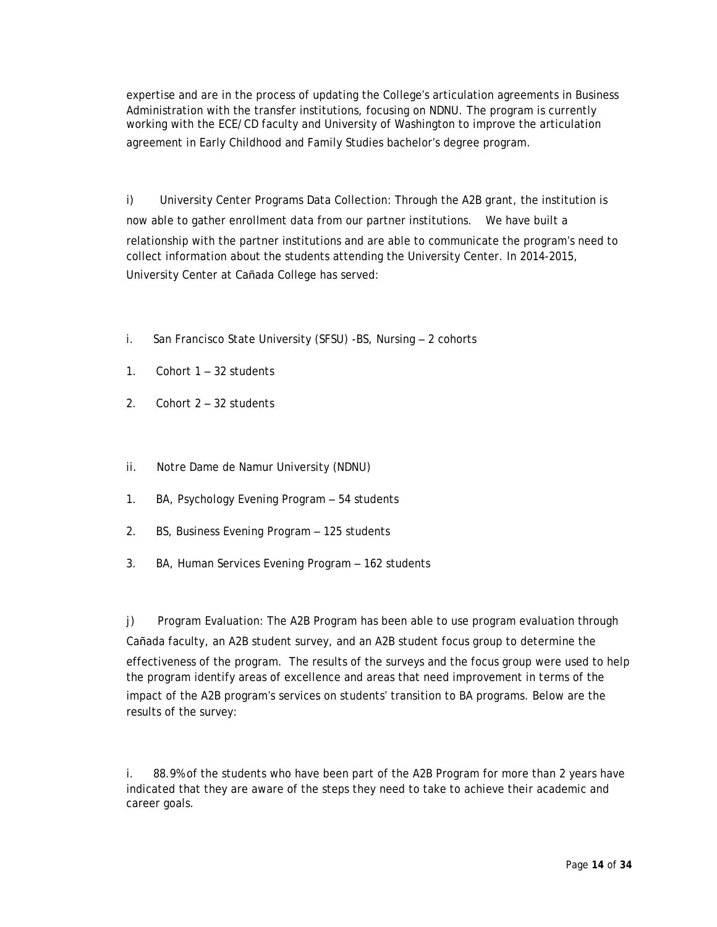expertise and are in the process of updating the College's articulation agreements in Business Administration with the transfer institutions, focusing on NDNU. The program is currently working with the ECE/CD faculty and University of Washington to improve the articulation agreement in Early Childhood and Family Studies bachelor's degree program.

i) University Center Programs Data Collection: Through the A2B grant, the institution is now able to gather enrollment data from our partner institutions. We have built a relationship with the partner institutions and are able to communicate the program's need to collect information about the students attending the University Center. In 2014-2015, University Center at Cañada College has served:

- i. San Francisco State University (SFSU) -BS, Nursing 2 cohorts
- 1. Cohort 1 32 students
- 2. Cohort 2 32 students
- ii. Notre Dame de Namur University (NDNU)
- 1. BA, Psychology Evening Program 54 students
- 2. BS, Business Evening Program 125 students
- 3. BA, Human Services Evening Program 162 students

j) Program Evaluation: The A2B Program has been able to use program evaluation through Cañada faculty, an A2B student survey, and an A2B student focus group to determine the effectiveness of the program. The results of the surveys and the focus group were used to help the program identify areas of excellence and areas that need improvement in terms of the impact of the A2B program's services on students' transition to BA programs. Below are the results of the survey:

i. 88.9% of the students who have been part of the A2B Program for more than 2 years have indicated that they are aware of the steps they need to take to achieve their academic and career goals.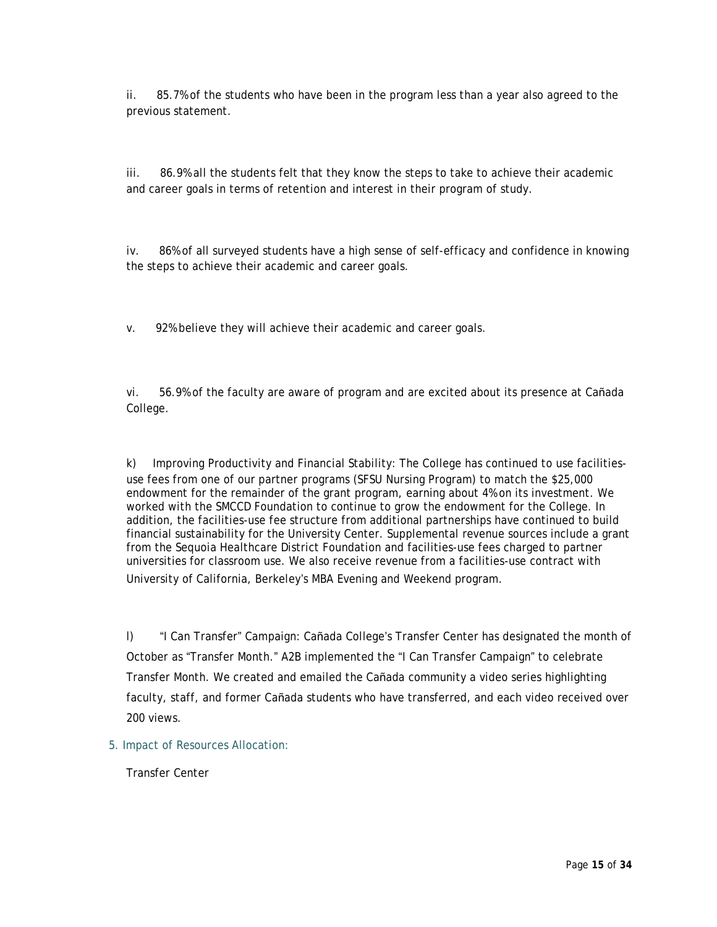ii. 85.7% of the students who have been in the program less than a year also agreed to the previous statement.

iii. 86.9% all the students felt that they know the steps to take to achieve their academic and career goals in terms of retention and interest in their program of study.

iv. 86% of all surveyed students have a high sense of self-efficacy and confidence in knowing the steps to achieve their academic and career goals.

v. 92% believe they will achieve their academic and career goals.

vi. 56.9% of the faculty are aware of program and are excited about its presence at Cañada College.

k) Improving Productivity and Financial Stability: The College has continued to use facilitiesuse fees from one of our partner programs (SFSU Nursing Program) to match the \$25,000 endowment for the remainder of the grant program, earning about 4% on its investment. We worked with the SMCCD Foundation to continue to grow the endowment for the College. In addition, the facilities-use fee structure from additional partnerships have continued to build financial sustainability for the University Center. Supplemental revenue sources include a grant from the Sequoia Healthcare District Foundation and facilities-use fees charged to partner universities for classroom use. We also receive revenue from a facilities-use contract with University of California, Berkeley's MBA Evening and Weekend program.

l) "I Can Transfer" Campaign: Cañada College's Transfer Center has designated the month of October as "Transfer Month." A2B implemented the "I Can Transfer Campaign" to celebrate Transfer Month. We created and emailed the Cañada community a video series highlighting faculty, staff, and former Cañada students who have transferred, and each video received over 200 views.

5. Impact of Resources Allocation:

Transfer Center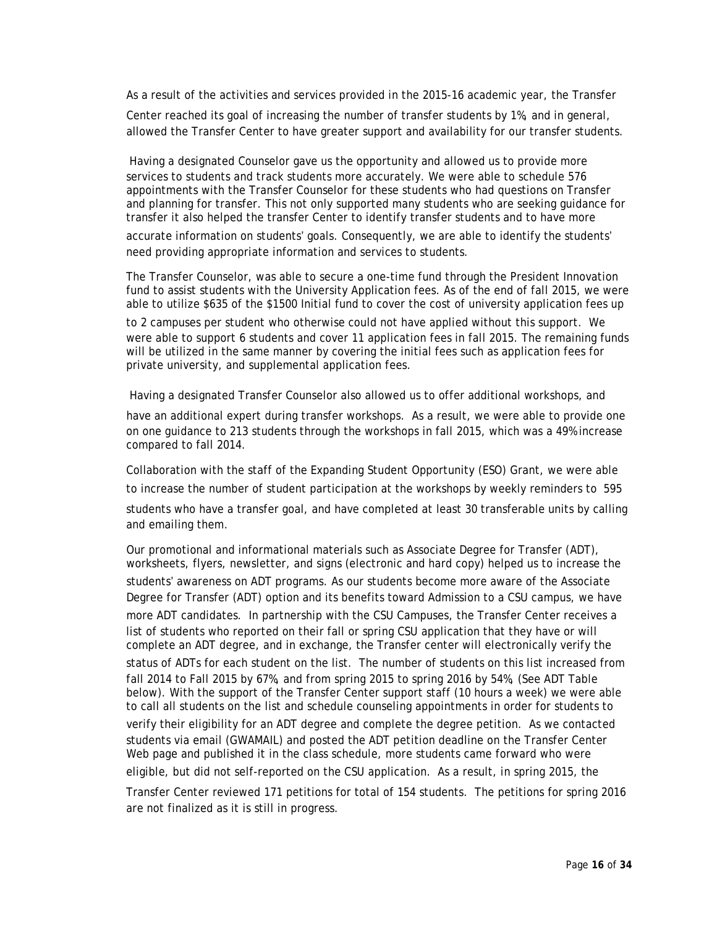As a result of the activities and services provided in the 2015-16 academic year, the Transfer

Center reached its goal of increasing the number of transfer students by 1%, and in general, allowed the Transfer Center to have greater support and availability for our transfer students.

Having a designated Counselor gave us the opportunity and allowed us to provide more services to students and track students more accurately. We were able to schedule 576 appointments with the Transfer Counselor for these students who had questions on Transfer and planning for transfer. This not only supported many students who are seeking guidance for transfer it also helped the transfer Center to identify transfer students and to have more accurate information on students' goals. Consequently, we are able to identify the students' need providing appropriate information and services to students.

The Transfer Counselor, was able to secure a one-time fund through the President Innovation fund to assist students with the University Application fees. As of the end of fall 2015, we were able to utilize \$635 of the \$1500 Initial fund to cover the cost of university application fees up

to 2 campuses per student who otherwise could not have applied without this support. We were able to support 6 students and cover 11 application fees in fall 2015. The remaining funds will be utilized in the same manner by covering the initial fees such as application fees for private university, and supplemental application fees.

Having a designated Transfer Counselor also allowed us to offer additional workshops, and

have an additional expert during transfer workshops. As a result, we were able to provide one on one guidance to 213 students through the workshops in fall 2015, which was a 49% increase compared to fall 2014.

Collaboration with the staff of the Expanding Student Opportunity (ESO) Grant, we were able to increase the number of student participation at the workshops by weekly reminders to 595 students who have a transfer goal, and have completed at least 30 transferable units by calling and emailing them.

Our promotional and informational materials such as Associate Degree for Transfer (ADT), worksheets, flyers, newsletter, and signs (electronic and hard copy) helped us to increase the students' awareness on ADT programs. As our students become more aware of the Associate Degree for Transfer (ADT) option and its benefits toward Admission to a CSU campus, we have more ADT candidates. In partnership with the CSU Campuses, the Transfer Center receives a list of students who reported on their fall or spring CSU application that they have or will complete an ADT degree, and in exchange, the Transfer center will electronically verify the status of ADTs for each student on the list. The number of students on this list increased from fall 2014 to Fall 2015 by 67%, and from spring 2015 to spring 2016 by 54%, (See ADT Table below). With the support of the Transfer Center support staff (10 hours a week) we were able to call all students on the list and schedule counseling appointments in order for students to

verify their eligibility for an ADT degree and complete the degree petition. As we contacted students via email (GWAMAIL) and posted the ADT petition deadline on the Transfer Center Web page and published it in the class schedule, more students came forward who were

eligible, but did not self-reported on the CSU application. As a result, in spring 2015, the

Transfer Center reviewed 171 petitions for total of 154 students. The petitions for spring 2016 are not finalized as it is still in progress.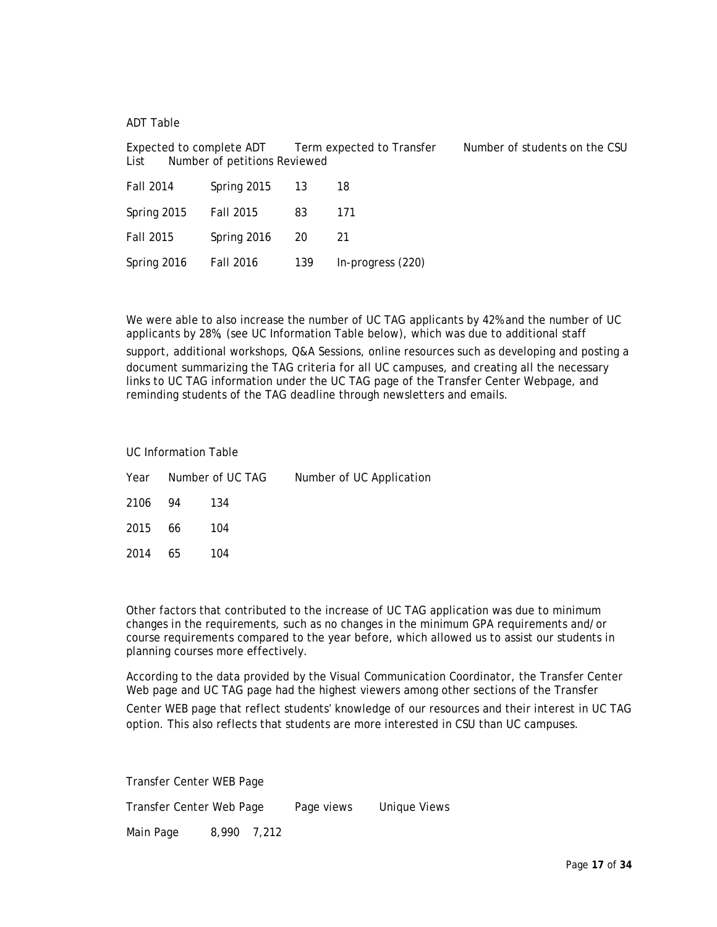ADT Table

Expected to complete ADT Term expected to Transfer Number of students on the CSU List Number of petitions Reviewed

| <b>Fall 2014</b> | Spring 2015 | - 13 | 18                |
|------------------|-------------|------|-------------------|
| Spring 2015      | Fall 2015   | 83   | 171               |
| Fall 2015        | Spring 2016 | - 20 | -21               |
| Spring 2016      | Fall 2016   | 139  | In-progress (220) |

We were able to also increase the number of UC TAG applicants by 42% and the number of UC applicants by 28%, (see UC Information Table below), which was due to additional staff support, additional workshops, Q&A Sessions, online resources such as developing and posting a document summarizing the TAG criteria for all UC campuses, and creating all the necessary links to UC TAG information under the UC TAG page of the Transfer Center Webpage, and reminding students of the TAG deadline through newsletters and emails.

UC Information Table

|         |    | Year Number of UC TAG | Number of UC Application |
|---------|----|-----------------------|--------------------------|
| 2106 94 |    | - 134                 |                          |
| 2015 66 |    | -104                  |                          |
| 2014    | 65 | 104                   |                          |

Other factors that contributed to the increase of UC TAG application was due to minimum changes in the requirements, such as no changes in the minimum GPA requirements and/or course requirements compared to the year before, which allowed us to assist our students in planning courses more effectively.

According to the data provided by the Visual Communication Coordinator, the Transfer Center Web page and UC TAG page had the highest viewers among other sections of the Transfer Center WEB page that reflect students' knowledge of our resources and their interest in UC TAG

option. This also reflects that students are more interested in CSU than UC campuses.

Transfer Center WEB Page Transfer Center Web Page Page views Unique Views Main Page 8,990 7,212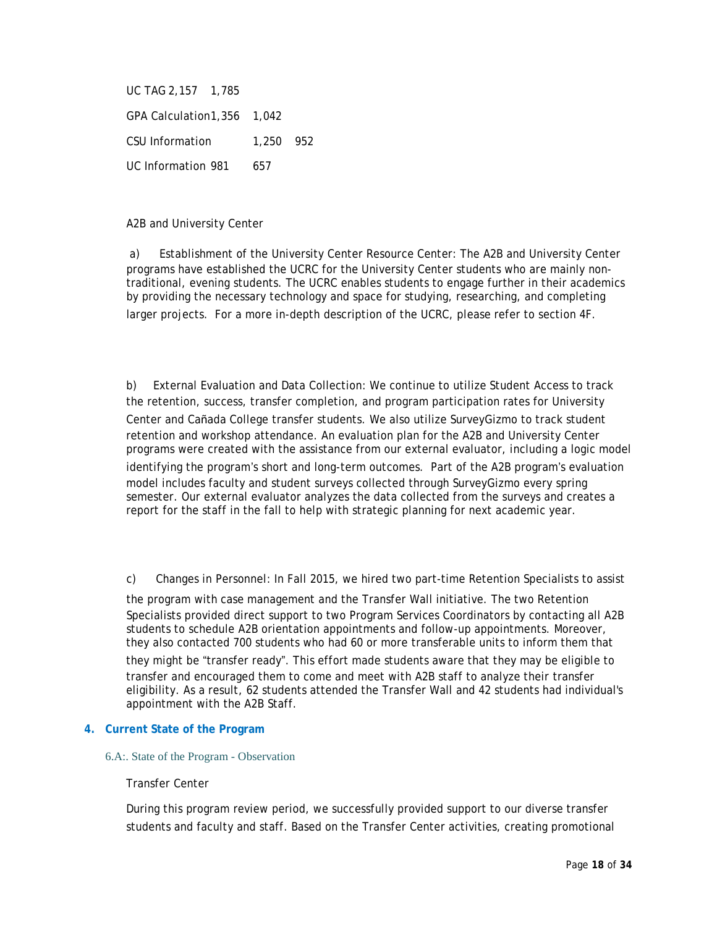UC TAG 2,157 1,785 GPA Calculation1,356 1,042 CSU Information 1,250 952 UC Information 981 657

A2B and University Center

a) Establishment of the University Center Resource Center: The A2B and University Center programs have established the UCRC for the University Center students who are mainly nontraditional, evening students. The UCRC enables students to engage further in their academics by providing the necessary technology and space for studying, researching, and completing larger projects. For a more in-depth description of the UCRC, please refer to section 4F.

b) External Evaluation and Data Collection: We continue to utilize Student Access to track the retention, success, transfer completion, and program participation rates for University Center and Cañada College transfer students. We also utilize SurveyGizmo to track student retention and workshop attendance. An evaluation plan for the A2B and University Center programs were created with the assistance from our external evaluator, including a logic model identifying the program's short and long-term outcomes. Part of the A2B program's evaluation model includes faculty and student surveys collected through SurveyGizmo every spring semester. Our external evaluator analyzes the data collected from the surveys and creates a report for the staff in the fall to help with strategic planning for next academic year.

c) Changes in Personnel: In Fall 2015, we hired two part-time Retention Specialists to assist

the program with case management and the Transfer Wall initiative. The two Retention Specialists provided direct support to two Program Services Coordinators by contacting all A2B students to schedule A2B orientation appointments and follow-up appointments. Moreover, they also contacted 700 students who had 60 or more transferable units to inform them that

they might be "transfer ready". This effort made students aware that they may be eligible to transfer and encouraged them to come and meet with A2B staff to analyze their transfer eligibility. As a result, 62 students attended the Transfer Wall and 42 students had individual's appointment with the A2B Staff.

### **4. Current State of the Program**

#### 6.A:. State of the Program - Observation

### Transfer Center

During this program review period, we successfully provided support to our diverse transfer students and faculty and staff. Based on the Transfer Center activities, creating promotional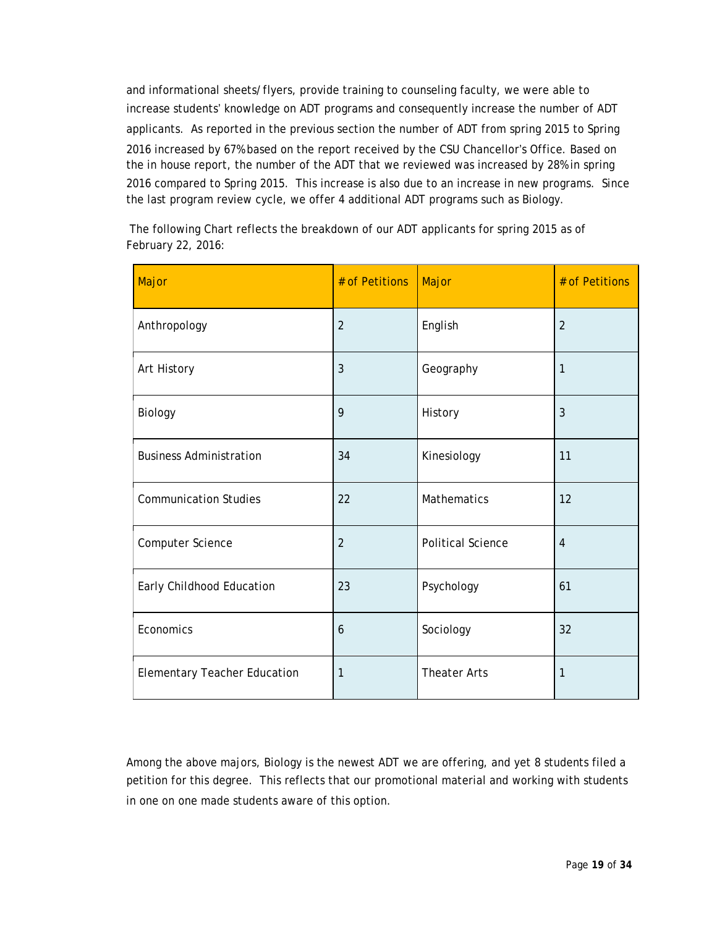and informational sheets/flyers, provide training to counseling faculty, we were able to increase students' knowledge on ADT programs and consequently increase the number of ADT applicants. As reported in the previous section the number of ADT from spring 2015 to Spring 2016 increased by 67% based on the report received by the CSU Chancellor's Office. Based on the in house report, the number of the ADT that we reviewed was increased by 28% in spring 2016 compared to Spring 2015. This increase is also due to an increase in new programs. Since the last program review cycle, we offer 4 additional ADT programs such as Biology.

The following Chart reflects the breakdown of our ADT applicants for spring 2015 as of February 22, 2016:

| Major                               | # of Petitions | Major                    | # of Petitions |
|-------------------------------------|----------------|--------------------------|----------------|
| Anthropology                        | $\overline{2}$ | English                  | $\overline{2}$ |
| Art History                         | 3              | Geography                | 1              |
| <b>Biology</b>                      | 9              | History                  | 3              |
| <b>Business Administration</b>      | 34             | Kinesiology              | 11             |
| <b>Communication Studies</b>        | 22             | Mathematics              | 12             |
| Computer Science                    | $\overline{2}$ | <b>Political Science</b> | $\overline{4}$ |
| Early Childhood Education           | 23             | Psychology               | 61             |
| Economics                           | 6              | Sociology                | 32             |
| <b>Elementary Teacher Education</b> | 1              | <b>Theater Arts</b>      | 1              |

Among the above majors, Biology is the newest ADT we are offering, and yet 8 students filed a petition for this degree. This reflects that our promotional material and working with students in one on one made students aware of this option.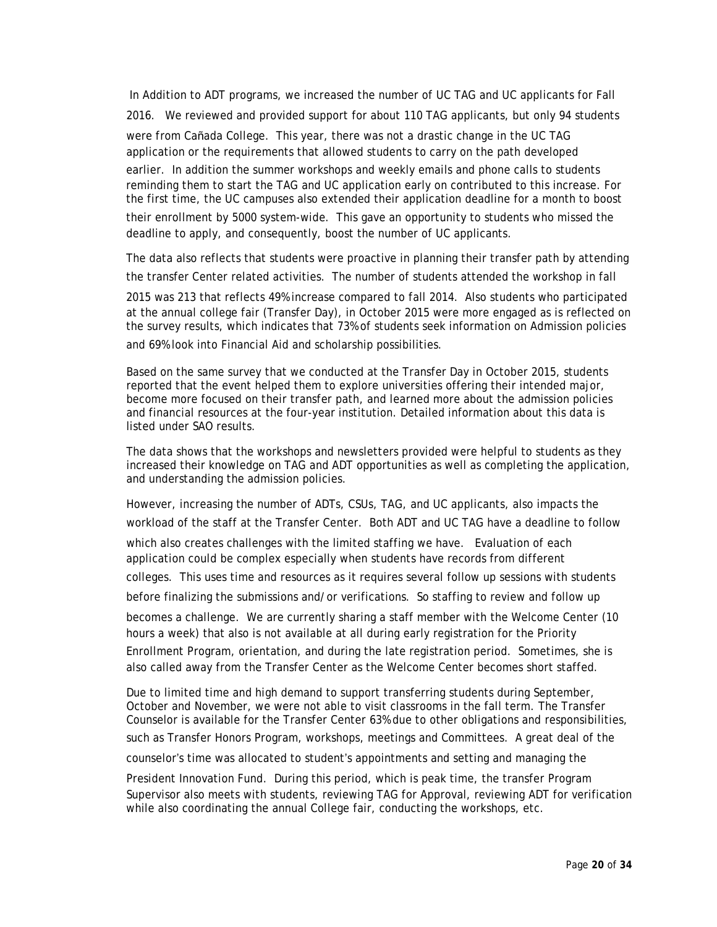In Addition to ADT programs, we increased the number of UC TAG and UC applicants for Fall 2016. We reviewed and provided support for about 110 TAG applicants, but only 94 students were from Cañada College. This year, there was not a drastic change in the UC TAG application or the requirements that allowed students to carry on the path developed earlier. In addition the summer workshops and weekly emails and phone calls to students reminding them to start the TAG and UC application early on contributed to this increase. For the first time, the UC campuses also extended their application deadline for a month to boost their enrollment by 5000 system-wide. This gave an opportunity to students who missed the deadline to apply, and consequently, boost the number of UC applicants.

The data also reflects that students were proactive in planning their transfer path by attending the transfer Center related activities. The number of students attended the workshop in fall

2015 was 213 that reflects 49% increase compared to fall 2014. Also students who participated at the annual college fair (Transfer Day), in October 2015 were more engaged as is reflected on the survey results, which indicates that 73% of students seek information on Admission policies and 69% look into Financial Aid and scholarship possibilities.

Based on the same survey that we conducted at the Transfer Day in October 2015, students reported that the event helped them to explore universities offering their intended major, become more focused on their transfer path, and learned more about the admission policies and financial resources at the four-year institution. Detailed information about this data is listed under SAO results.

The data shows that the workshops and newsletters provided were helpful to students as they increased their knowledge on TAG and ADT opportunities as well as completing the application, and understanding the admission policies.

However, increasing the number of ADTs, CSUs, TAG, and UC applicants, also impacts the workload of the staff at the Transfer Center. Both ADT and UC TAG have a deadline to follow which also creates challenges with the limited staffing we have. Evaluation of each application could be complex especially when students have records from different colleges. This uses time and resources as it requires several follow up sessions with students before finalizing the submissions and/or verifications. So staffing to review and follow up becomes a challenge. We are currently sharing a staff member with the Welcome Center (10 hours a week) that also is not available at all during early registration for the Priority Enrollment Program, orientation, and during the late registration period. Sometimes, she is also called away from the Transfer Center as the Welcome Center becomes short staffed.

Due to limited time and high demand to support transferring students during September, October and November, we were not able to visit classrooms in the fall term. The Transfer Counselor is available for the Transfer Center 63% due to other obligations and responsibilities, such as Transfer Honors Program, workshops, meetings and Committees. A great deal of the

counselor's time was allocated to student's appointments and setting and managing the

President Innovation Fund. During this period, which is peak time, the transfer Program Supervisor also meets with students, reviewing TAG for Approval, reviewing ADT for verification while also coordinating the annual College fair, conducting the workshops, etc.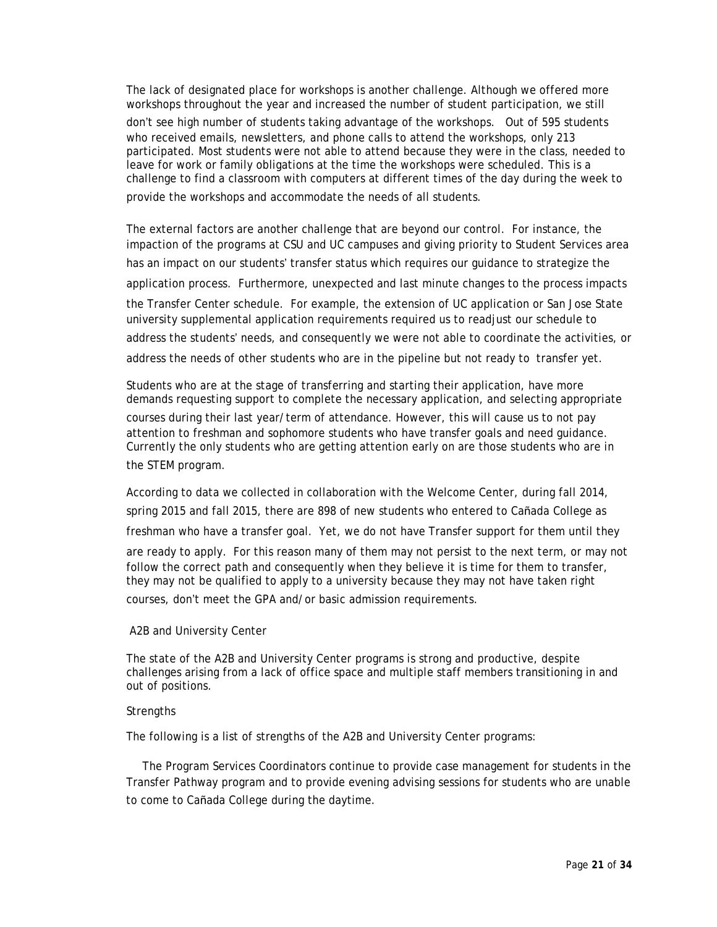The lack of designated place for workshops is another challenge. Although we offered more workshops throughout the year and increased the number of student participation, we still don't see high number of students taking advantage of the workshops. Out of 595 students who received emails, newsletters, and phone calls to attend the workshops, only 213 participated. Most students were not able to attend because they were in the class, needed to leave for work or family obligations at the time the workshops were scheduled. This is a challenge to find a classroom with computers at different times of the day during the week to provide the workshops and accommodate the needs of all students.

The external factors are another challenge that are beyond our control. For instance, the impaction of the programs at CSU and UC campuses and giving priority to Student Services area has an impact on our students' transfer status which requires our guidance to strategize the application process. Furthermore, unexpected and last minute changes to the process impacts the Transfer Center schedule. For example, the extension of UC application or San Jose State university supplemental application requirements required us to readjust our schedule to address the students' needs, and consequently we were not able to coordinate the activities, or address the needs of other students who are in the pipeline but not ready to transfer yet.

Students who are at the stage of transferring and starting their application, have more demands requesting support to complete the necessary application, and selecting appropriate courses during their last year/term of attendance. However, this will cause us to not pay attention to freshman and sophomore students who have transfer goals and need guidance. Currently the only students who are getting attention early on are those students who are in the STEM program.

According to data we collected in collaboration with the Welcome Center, during fall 2014, spring 2015 and fall 2015, there are 898 of new students who entered to Cañada College as freshman who have a transfer goal. Yet, we do not have Transfer support for them until they are ready to apply. For this reason many of them may not persist to the next term, or may not follow the correct path and consequently when they believe it is time for them to transfer, they may not be qualified to apply to a university because they may not have taken right courses, don't meet the GPA and/or basic admission requirements.

### A2B and University Center

The state of the A2B and University Center programs is strong and productive, despite challenges arising from a lack of office space and multiple staff members transitioning in and out of positions.

### **Strengths**

The following is a list of strengths of the A2B and University Center programs:

The Program Services Coordinators continue to provide case management for students in the Transfer Pathway program and to provide evening advising sessions for students who are unable to come to Cañada College during the daytime.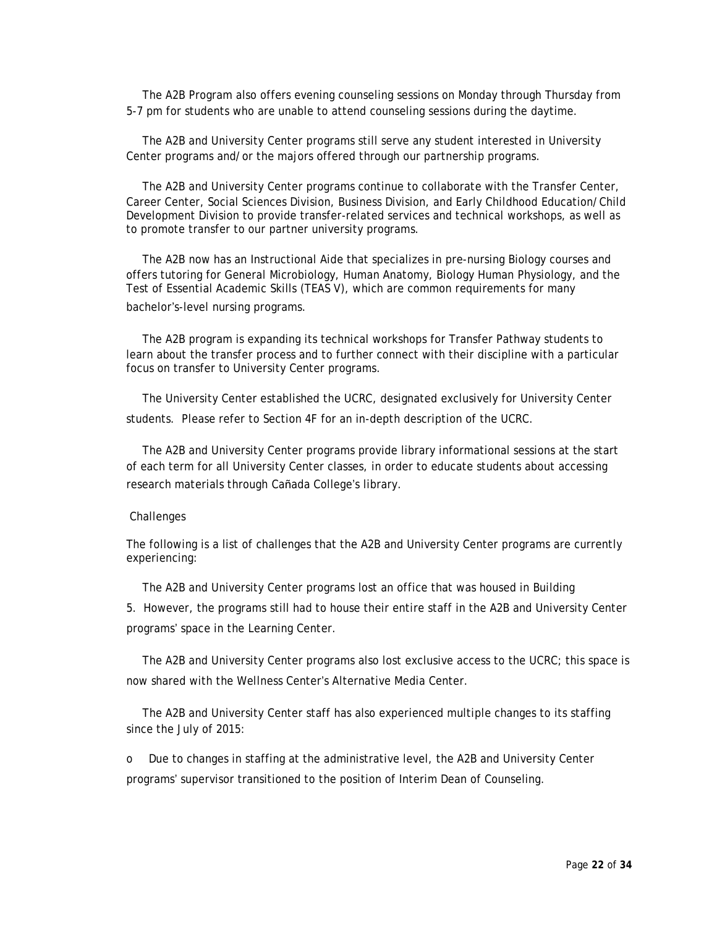The A2B Program also offers evening counseling sessions on Monday through Thursday from 5-7 pm for students who are unable to attend counseling sessions during the daytime.

The A2B and University Center programs still serve any student interested in University Center programs and/or the majors offered through our partnership programs.

The A2B and University Center programs continue to collaborate with the Transfer Center, Career Center, Social Sciences Division, Business Division, and Early Childhood Education/Child Development Division to provide transfer-related services and technical workshops, as well as to promote transfer to our partner university programs.

The A2B now has an Instructional Aide that specializes in pre-nursing Biology courses and offers tutoring for General Microbiology, Human Anatomy, Biology Human Physiology, and the Test of Essential Academic Skills (TEAS V), which are common requirements for many bachelor's-level nursing programs.

The A2B program is expanding its technical workshops for Transfer Pathway students to learn about the transfer process and to further connect with their discipline with a particular focus on transfer to University Center programs.

The University Center established the UCRC, designated exclusively for University Center students. Please refer to Section 4F for an in-depth description of the UCRC.

The A2B and University Center programs provide library informational sessions at the start of each term for all University Center classes, in order to educate students about accessing research materials through Cañada College's library.

### **Challenges**

The following is a list of challenges that the A2B and University Center programs are currently experiencing:

The A2B and University Center programs lost an office that was housed in Building

5. However, the programs still had to house their entire staff in the A2B and University Center programs' space in the Learning Center.

The A2B and University Center programs also lost exclusive access to the UCRC; this space is now shared with the Wellness Center's Alternative Media Center.

The A2B and University Center staff has also experienced multiple changes to its staffing since the July of 2015:

o Due to changes in staffing at the administrative level, the A2B and University Center programs' supervisor transitioned to the position of Interim Dean of Counseling.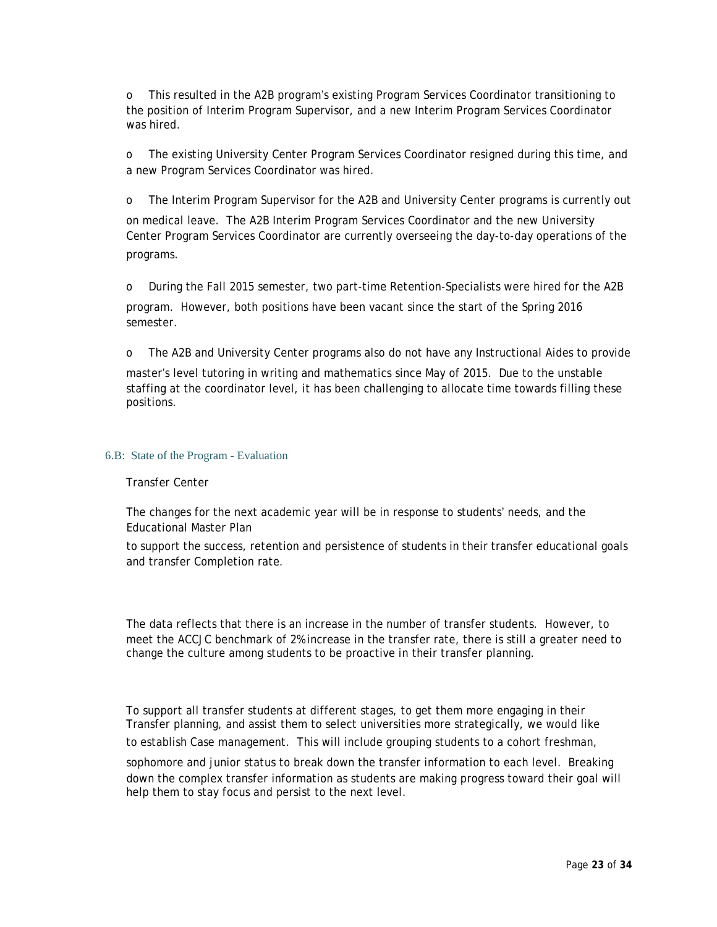o This resulted in the A2B program's existing Program Services Coordinator transitioning to the position of Interim Program Supervisor, and a new Interim Program Services Coordinator was hired.

o The existing University Center Program Services Coordinator resigned during this time, and a new Program Services Coordinator was hired.

o The Interim Program Supervisor for the A2B and University Center programs is currently out

on medical leave. The A2B Interim Program Services Coordinator and the new University Center Program Services Coordinator are currently overseeing the day-to-day operations of the programs.

o During the Fall 2015 semester, two part-time Retention-Specialists were hired for the A2B program. However, both positions have been vacant since the start of the Spring 2016 semester.

o The A2B and University Center programs also do not have any Instructional Aides to provide

master's level tutoring in writing and mathematics since May of 2015. Due to the unstable staffing at the coordinator level, it has been challenging to allocate time towards filling these positions.

#### 6.B: State of the Program - Evaluation

#### Transfer Center

The changes for the next academic year will be in response to students' needs, and the Educational Master Plan

to support the success, retention and persistence of students in their transfer educational goals and transfer Completion rate.

The data reflects that there is an increase in the number of transfer students. However, to meet the ACCJC benchmark of 2% increase in the transfer rate, there is still a greater need to change the culture among students to be proactive in their transfer planning.

To support all transfer students at different stages, to get them more engaging in their Transfer planning, and assist them to select universities more strategically, we would like to establish Case management. This will include grouping students to a cohort freshman,

sophomore and junior status to break down the transfer information to each level. Breaking down the complex transfer information as students are making progress toward their goal will help them to stay focus and persist to the next level.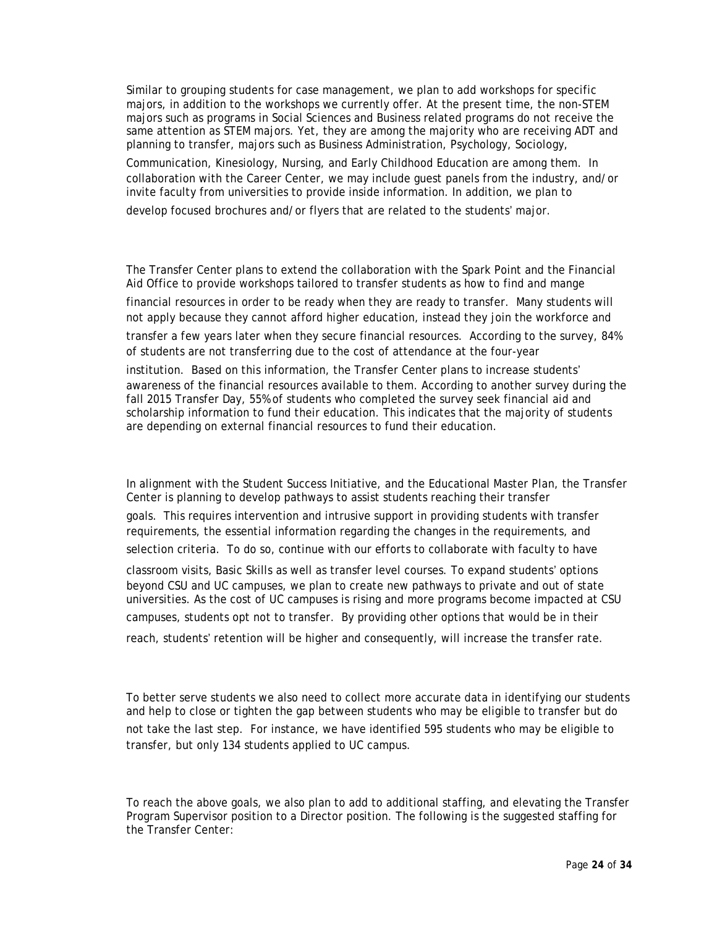Similar to grouping students for case management, we plan to add workshops for specific majors, in addition to the workshops we currently offer. At the present time, the non-STEM majors such as programs in Social Sciences and Business related programs do not receive the same attention as STEM majors. Yet, they are among the majority who are receiving ADT and planning to transfer, majors such as Business Administration, Psychology, Sociology, Communication, Kinesiology, Nursing, and Early Childhood Education are among them. In collaboration with the Career Center, we may include guest panels from the industry, and/or invite faculty from universities to provide inside information. In addition, we plan to develop focused brochures and/or flyers that are related to the students' major.

The Transfer Center plans to extend the collaboration with the Spark Point and the Financial Aid Office to provide workshops tailored to transfer students as how to find and mange financial resources in order to be ready when they are ready to transfer. Many students will not apply because they cannot afford higher education, instead they join the workforce and transfer a few years later when they secure financial resources. According to the survey, 84% of students are not transferring due to the cost of attendance at the four-year institution. Based on this information, the Transfer Center plans to increase students' awareness of the financial resources available to them. According to another survey during the fall 2015 Transfer Day, 55% of students who completed the survey seek financial aid and scholarship information to fund their education. This indicates that the majority of students are depending on external financial resources to fund their education.

In alignment with the Student Success Initiative, and the Educational Master Plan, the Transfer Center is planning to develop pathways to assist students reaching their transfer goals. This requires intervention and intrusive support in providing students with transfer requirements, the essential information regarding the changes in the requirements, and selection criteria. To do so, continue with our efforts to collaborate with faculty to have classroom visits, Basic Skills as well as transfer level courses. To expand students' options beyond CSU and UC campuses, we plan to create new pathways to private and out of state universities. As the cost of UC campuses is rising and more programs become impacted at CSU campuses, students opt not to transfer. By providing other options that would be in their reach, students' retention will be higher and consequently, will increase the transfer rate.

To better serve students we also need to collect more accurate data in identifying our students and help to close or tighten the gap between students who may be eligible to transfer but do not take the last step. For instance, we have identified 595 students who may be eligible to transfer, but only 134 students applied to UC campus.

To reach the above goals, we also plan to add to additional staffing, and elevating the Transfer Program Supervisor position to a Director position. The following is the suggested staffing for the Transfer Center: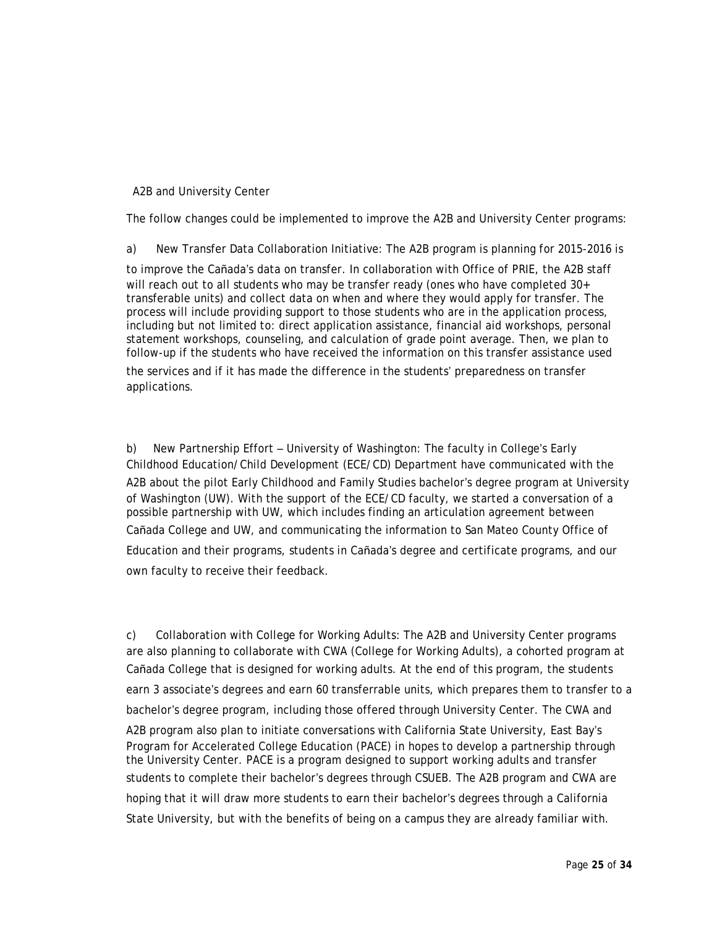### A2B and University Center

The follow changes could be implemented to improve the A2B and University Center programs:

a) New Transfer Data Collaboration Initiative: The A2B program is planning for 2015-2016 is

to improve the Cañada's data on transfer. In collaboration with Office of PRIE, the A2B staff will reach out to all students who may be transfer ready (ones who have completed 30+ transferable units) and collect data on when and where they would apply for transfer. The process will include providing support to those students who are in the application process, including but not limited to: direct application assistance, financial aid workshops, personal statement workshops, counseling, and calculation of grade point average. Then, we plan to follow-up if the students who have received the information on this transfer assistance used the services and if it has made the difference in the students' preparedness on transfer applications.

b) New Partnership Effort – University of Washington: The faculty in College's Early Childhood Education/Child Development (ECE/CD) Department have communicated with the A2B about the pilot Early Childhood and Family Studies bachelor's degree program at University of Washington (UW). With the support of the ECE/CD faculty, we started a conversation of a possible partnership with UW, which includes finding an articulation agreement between Cañada College and UW, and communicating the information to San Mateo County Office of Education and their programs, students in Cañada's degree and certificate programs, and our own faculty to receive their feedback.

c) Collaboration with College for Working Adults: The A2B and University Center programs are also planning to collaborate with CWA (College for Working Adults), a cohorted program at Cañada College that is designed for working adults. At the end of this program, the students earn 3 associate's degrees and earn 60 transferrable units, which prepares them to transfer to a bachelor's degree program, including those offered through University Center. The CWA and A2B program also plan to initiate conversations with California State University, East Bay's Program for Accelerated College Education (PACE) in hopes to develop a partnership through the University Center. PACE is a program designed to support working adults and transfer students to complete their bachelor's degrees through CSUEB. The A2B program and CWA are hoping that it will draw more students to earn their bachelor's degrees through a California State University, but with the benefits of being on a campus they are already familiar with.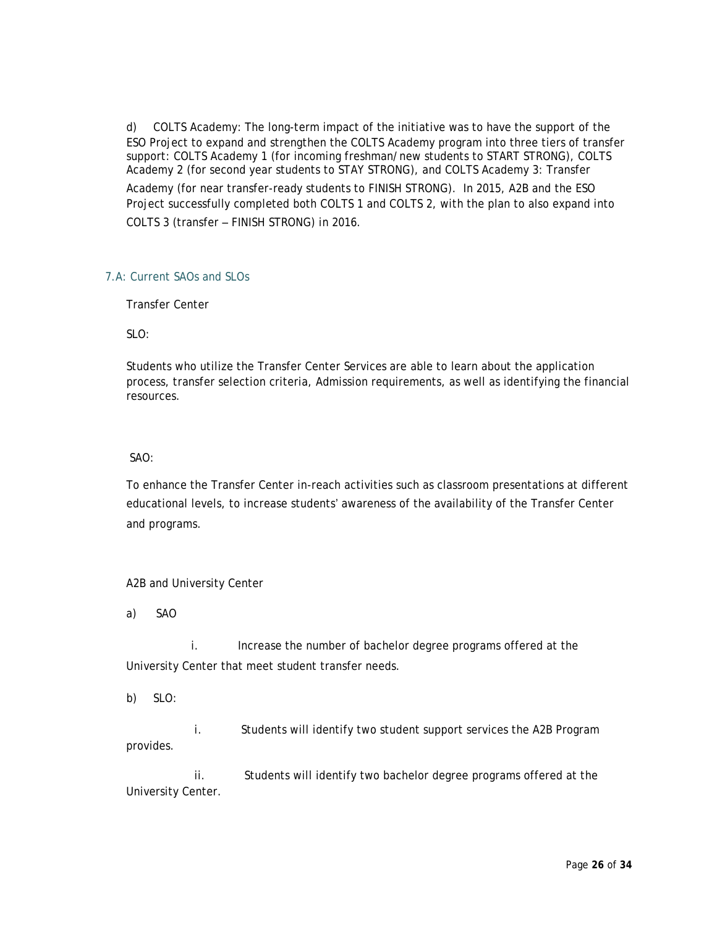d) COLTS Academy: The long-term impact of the initiative was to have the support of the ESO Project to expand and strengthen the COLTS Academy program into three tiers of transfer support: COLTS Academy 1 (for incoming freshman/new students to START STRONG), COLTS Academy 2 (for second year students to STAY STRONG), and COLTS Academy 3: Transfer Academy (for near transfer-ready students to FINISH STRONG). In 2015, A2B and the ESO Project successfully completed both COLTS 1 and COLTS 2, with the plan to also expand into COLTS 3 (transfer – FINISH STRONG) in 2016.

# 7.A: Current SAOs and SLOs

Transfer Center

SLO:

Students who utilize the Transfer Center Services are able to learn about the application process, transfer selection criteria, Admission requirements, as well as identifying the financial resources.

# SAO:

To enhance the Transfer Center in-reach activities such as classroom presentations at different educational levels, to increase students' awareness of the availability of the Transfer Center and programs.

# A2B and University Center

a) SAO

i. Increase the number of bachelor degree programs offered at the University Center that meet student transfer needs.

b) SLO:

i. Students will identify two student support services the A2B Program provides.

ii. Students will identify two bachelor degree programs offered at the University Center.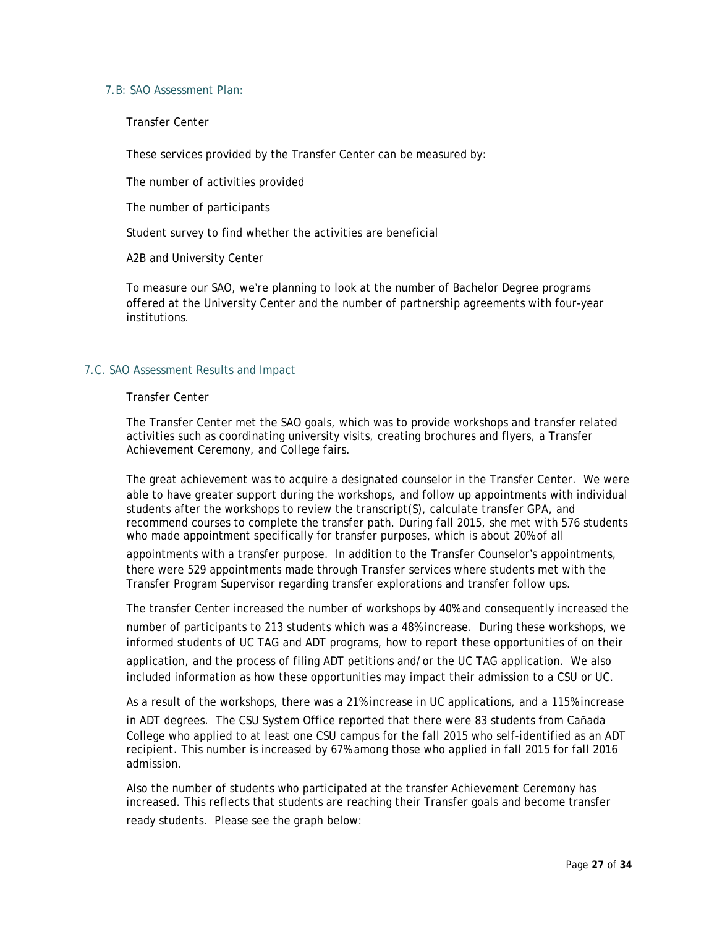# 7.B: SAO Assessment Plan:

Transfer Center

These services provided by the Transfer Center can be measured by:

The number of activities provided

The number of participants

Student survey to find whether the activities are beneficial

A2B and University Center

To measure our SAO, we're planning to look at the number of Bachelor Degree programs offered at the University Center and the number of partnership agreements with four-year institutions.

### 7.C. SAO Assessment Results and Impact

#### Transfer Center

The Transfer Center met the SAO goals, which was to provide workshops and transfer related activities such as coordinating university visits, creating brochures and flyers, a Transfer Achievement Ceremony, and College fairs.

The great achievement was to acquire a designated counselor in the Transfer Center. We were able to have greater support during the workshops, and follow up appointments with individual students after the workshops to review the transcript(S), calculate transfer GPA, and recommend courses to complete the transfer path. During fall 2015, she met with 576 students who made appointment specifically for transfer purposes, which is about 20% of all

appointments with a transfer purpose. In addition to the Transfer Counselor's appointments, there were 529 appointments made through Transfer services where students met with the Transfer Program Supervisor regarding transfer explorations and transfer follow ups.

The transfer Center increased the number of workshops by 40% and consequently increased the number of participants to 213 students which was a 48% increase. During these workshops, we informed students of UC TAG and ADT programs, how to report these opportunities of on their application, and the process of filing ADT petitions and/or the UC TAG application. We also included information as how these opportunities may impact their admission to a CSU or UC.

As a result of the workshops, there was a 21% increase in UC applications, and a 115% increase in ADT degrees. The CSU System Office reported that there were 83 students from Cañada College who applied to at least one CSU campus for the fall 2015 who self-identified as an ADT recipient. This number is increased by 67% among those who applied in fall 2015 for fall 2016 admission.

Also the number of students who participated at the transfer Achievement Ceremony has increased. This reflects that students are reaching their Transfer goals and become transfer ready students. Please see the graph below: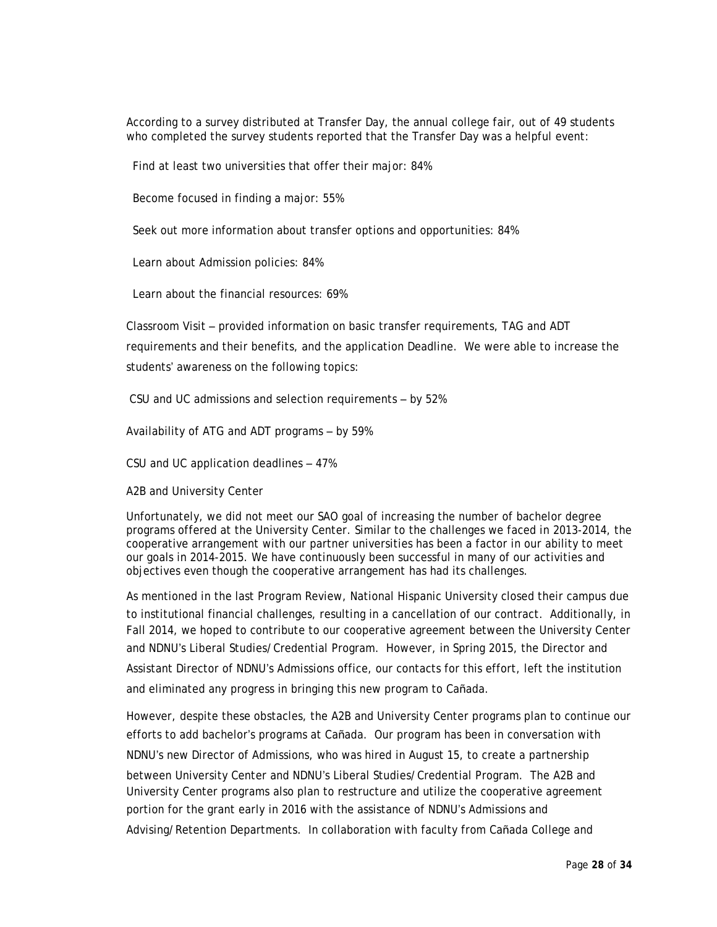According to a survey distributed at Transfer Day, the annual college fair, out of 49 students who completed the survey students reported that the Transfer Day was a helpful event:

Find at least two universities that offer their major: 84%

Become focused in finding a major: 55%

Seek out more information about transfer options and opportunities: 84%

Learn about Admission policies: 84%

Learn about the financial resources: 69%

Classroom Visit – provided information on basic transfer requirements, TAG and ADT requirements and their benefits, and the application Deadline. We were able to increase the students' awareness on the following topics:

CSU and UC admissions and selection requirements – by 52%

Availability of ATG and ADT programs – by 59%

CSU and UC application deadlines – 47%

A2B and University Center

Unfortunately, we did not meet our SAO goal of increasing the number of bachelor degree programs offered at the University Center. Similar to the challenges we faced in 2013-2014, the cooperative arrangement with our partner universities has been a factor in our ability to meet our goals in 2014-2015. We have continuously been successful in many of our activities and objectives even though the cooperative arrangement has had its challenges.

As mentioned in the last Program Review, National Hispanic University closed their campus due to institutional financial challenges, resulting in a cancellation of our contract. Additionally, in Fall 2014, we hoped to contribute to our cooperative agreement between the University Center and NDNU's Liberal Studies/Credential Program. However, in Spring 2015, the Director and Assistant Director of NDNU's Admissions office, our contacts for this effort, left the institution and eliminated any progress in bringing this new program to Cañada.

However, despite these obstacles, the A2B and University Center programs plan to continue our efforts to add bachelor's programs at Cañada. Our program has been in conversation with NDNU's new Director of Admissions, who was hired in August 15, to create a partnership between University Center and NDNU's Liberal Studies/Credential Program. The A2B and University Center programs also plan to restructure and utilize the cooperative agreement portion for the grant early in 2016 with the assistance of NDNU's Admissions and Advising/Retention Departments. In collaboration with faculty from Cañada College and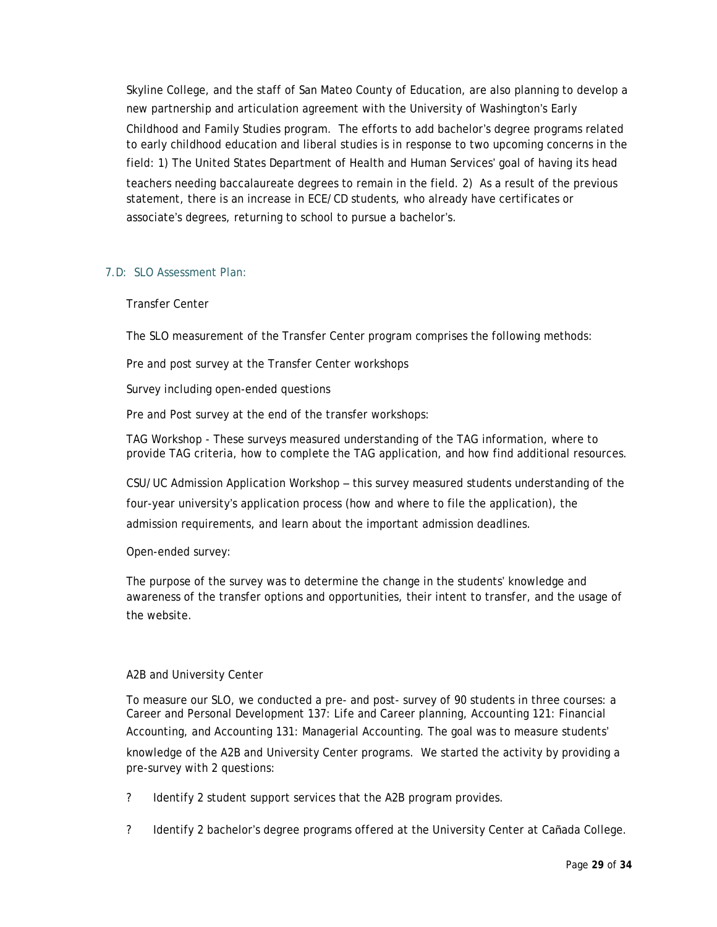Skyline College, and the staff of San Mateo County of Education, are also planning to develop a new partnership and articulation agreement with the University of Washington's Early

Childhood and Family Studies program. The efforts to add bachelor's degree programs related to early childhood education and liberal studies is in response to two upcoming concerns in the field: 1) The United States Department of Health and Human Services' goal of having its head

teachers needing baccalaureate degrees to remain in the field. 2) As a result of the previous statement, there is an increase in ECE/CD students, who already have certificates or associate's degrees, returning to school to pursue a bachelor's.

# 7.D: SLO Assessment Plan:

### Transfer Center

The SLO measurement of the Transfer Center program comprises the following methods:

Pre and post survey at the Transfer Center workshops

Survey including open-ended questions

Pre and Post survey at the end of the transfer workshops:

TAG Workshop - These surveys measured understanding of the TAG information, where to provide TAG criteria, how to complete the TAG application, and how find additional resources.

CSU/UC Admission Application Workshop – this survey measured students understanding of the four-year university's application process (how and where to file the application), the admission requirements, and learn about the important admission deadlines.

Open-ended survey:

The purpose of the survey was to determine the change in the students' knowledge and awareness of the transfer options and opportunities, their intent to transfer, and the usage of the website.

### A2B and University Center

To measure our SLO, we conducted a pre- and post- survey of 90 students in three courses: a Career and Personal Development 137: Life and Career planning, Accounting 121: Financial Accounting, and Accounting 131: Managerial Accounting. The goal was to measure students' knowledge of the A2B and University Center programs. We started the activity by providing a pre-survey with 2 questions:

? Identify 2 student support services that the A2B program provides.

? Identify 2 bachelor's degree programs offered at the University Center at Cañada College.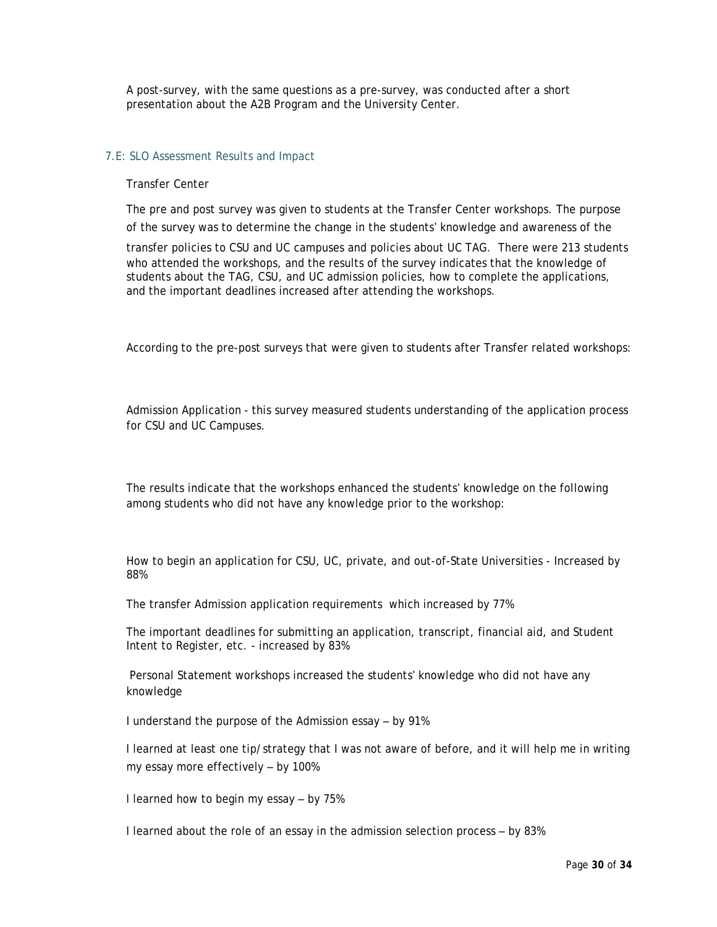A post-survey, with the same questions as a pre-survey, was conducted after a short presentation about the A2B Program and the University Center.

### 7.E: SLO Assessment Results and Impact

#### Transfer Center

The pre and post survey was given to students at the Transfer Center workshops. The purpose of the survey was to determine the change in the students' knowledge and awareness of the

transfer policies to CSU and UC campuses and policies about UC TAG. There were 213 students who attended the workshops, and the results of the survey indicates that the knowledge of students about the TAG, CSU, and UC admission policies, how to complete the applications, and the important deadlines increased after attending the workshops.

According to the pre-post surveys that were given to students after Transfer related workshops:

Admission Application - this survey measured students understanding of the application process for CSU and UC Campuses.

The results indicate that the workshops enhanced the students' knowledge on the following among students who did not have any knowledge prior to the workshop:

How to begin an application for CSU, UC, private, and out-of-State Universities - Increased by 88%

The transfer Admission application requirements which increased by 77%

The important deadlines for submitting an application, transcript, financial aid, and Student Intent to Register, etc. - increased by 83%

Personal Statement workshops increased the students' knowledge who did not have any knowledge

I understand the purpose of the Admission essay – by 91%

I learned at least one tip/strategy that I was not aware of before, and it will help me in writing my essay more effectively – by 100%

I learned how to begin my essay – by 75%

I learned about the role of an essay in the admission selection process – by 83%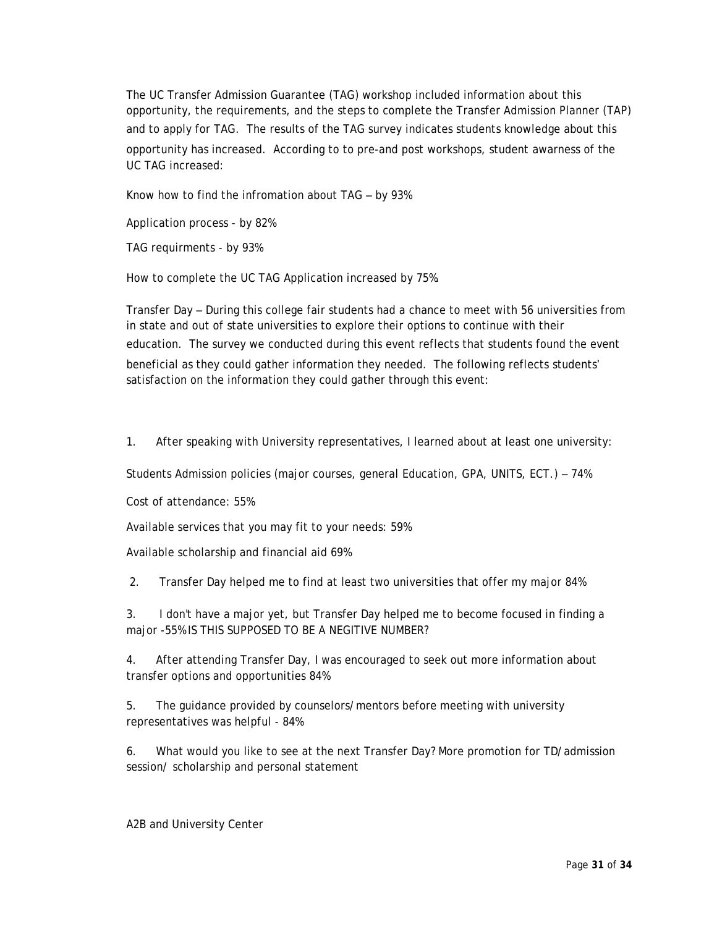The UC Transfer Admission Guarantee (TAG) workshop included information about this opportunity, the requirements, and the steps to complete the Transfer Admission Planner (TAP) and to apply for TAG. The results of the TAG survey indicates students knowledge about this opportunity has increased. According to to pre-and post workshops, student awarness of the UC TAG increased:

Know how to find the infromation about TAG – by 93%

Application process - by 82%

TAG requirments - by 93%

How to complete the UC TAG Application increased by 75%.

Transfer Day – During this college fair students had a chance to meet with 56 universities from in state and out of state universities to explore their options to continue with their education. The survey we conducted during this event reflects that students found the event beneficial as they could gather information they needed. The following reflects students' satisfaction on the information they could gather through this event:

1. After speaking with University representatives, I learned about at least one university:

Students Admission policies (major courses, general Education, GPA, UNITS, ECT.) – 74%

Cost of attendance: 55%

Available services that you may fit to your needs: 59%

Available scholarship and financial aid 69%

2. Transfer Day helped me to find at least two universities that offer my major 84%

3. I don't have a major yet, but Transfer Day helped me to become focused in finding a major -55% IS THIS SUPPOSED TO BE A NEGITIVE NUMBER?

4. After attending Transfer Day, I was encouraged to seek out more information about transfer options and opportunities 84%

5. The guidance provided by counselors/mentors before meeting with university representatives was helpful - 84%

6. What would you like to see at the next Transfer Day? More promotion for TD/admission session/ scholarship and personal statement

A2B and University Center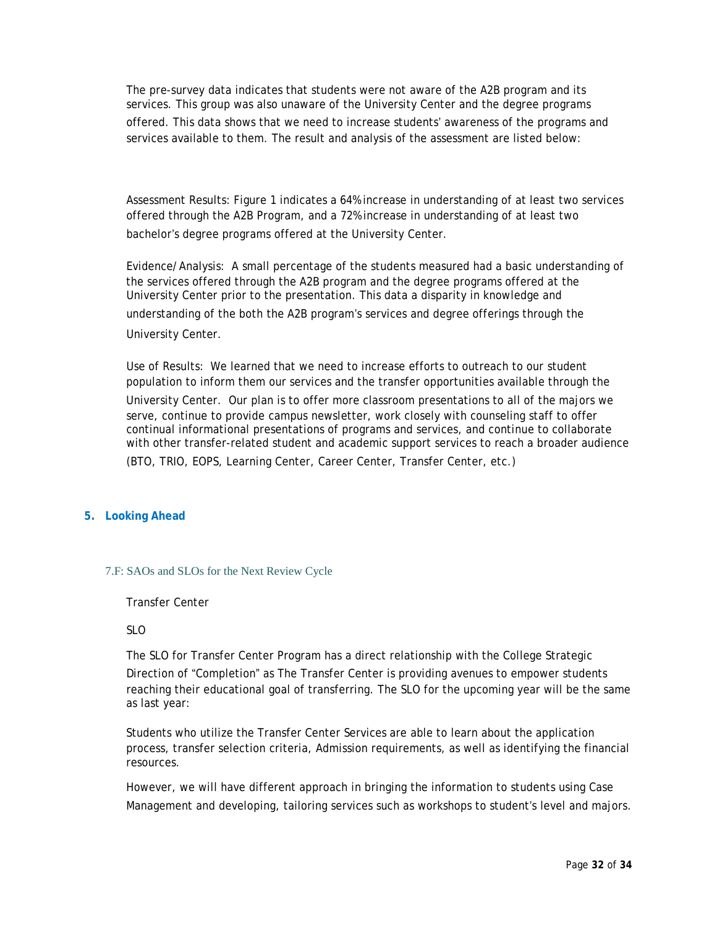The pre-survey data indicates that students were not aware of the A2B program and its services. This group was also unaware of the University Center and the degree programs offered. This data shows that we need to increase students' awareness of the programs and services available to them. The result and analysis of the assessment are listed below:

Assessment Results: Figure 1 indicates a 64% increase in understanding of at least two services offered through the A2B Program, and a 72% increase in understanding of at least two bachelor's degree programs offered at the University Center.

Evidence/Analysis: A small percentage of the students measured had a basic understanding of the services offered through the A2B program and the degree programs offered at the University Center prior to the presentation. This data a disparity in knowledge and understanding of the both the A2B program's services and degree offerings through the University Center.

Use of Results: We learned that we need to increase efforts to outreach to our student population to inform them our services and the transfer opportunities available through the University Center. Our plan is to offer more classroom presentations to all of the majors we serve, continue to provide campus newsletter, work closely with counseling staff to offer continual informational presentations of programs and services, and continue to collaborate with other transfer-related student and academic support services to reach a broader audience (BTO, TRIO, EOPS, Learning Center, Career Center, Transfer Center, etc.)

### **5. Looking Ahead**

### 7.F: SAOs and SLOs for the Next Review Cycle

Transfer Center

### SLO

The SLO for Transfer Center Program has a direct relationship with the College Strategic Direction of "Completion" as The Transfer Center is providing avenues to empower students reaching their educational goal of transferring. The SLO for the upcoming year will be the same as last year:

Students who utilize the Transfer Center Services are able to learn about the application process, transfer selection criteria, Admission requirements, as well as identifying the financial resources.

However, we will have different approach in bringing the information to students using Case Management and developing, tailoring services such as workshops to student's level and majors.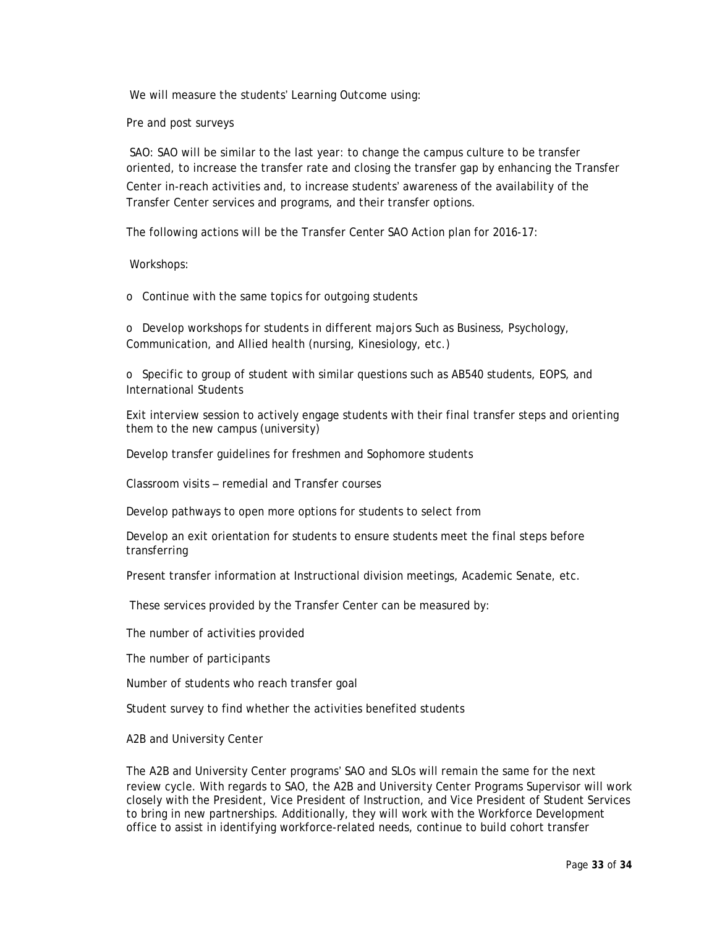We will measure the students' Learning Outcome using:

Pre and post surveys

SAO: SAO will be similar to the last year: to change the campus culture to be transfer oriented, to increase the transfer rate and closing the transfer gap by enhancing the Transfer Center in-reach activities and, to increase students' awareness of the availability of the Transfer Center services and programs, and their transfer options.

The following actions will be the Transfer Center SAO Action plan for 2016-17:

Workshops:

o Continue with the same topics for outgoing students

o Develop workshops for students in different majors Such as Business, Psychology, Communication, and Allied health (nursing, Kinesiology, etc.)

o Specific to group of student with similar questions such as AB540 students, EOPS, and International Students

Exit interview session to actively engage students with their final transfer steps and orienting them to the new campus (university)

Develop transfer guidelines for freshmen and Sophomore students

Classroom visits – remedial and Transfer courses

Develop pathways to open more options for students to select from

Develop an exit orientation for students to ensure students meet the final steps before transferring

Present transfer information at Instructional division meetings, Academic Senate, etc.

These services provided by the Transfer Center can be measured by:

The number of activities provided

The number of participants

Number of students who reach transfer goal

Student survey to find whether the activities benefited students

A2B and University Center

The A2B and University Center programs' SAO and SLOs will remain the same for the next review cycle. With regards to SAO, the A2B and University Center Programs Supervisor will work closely with the President, Vice President of Instruction, and Vice President of Student Services to bring in new partnerships. Additionally, they will work with the Workforce Development office to assist in identifying workforce-related needs, continue to build cohort transfer